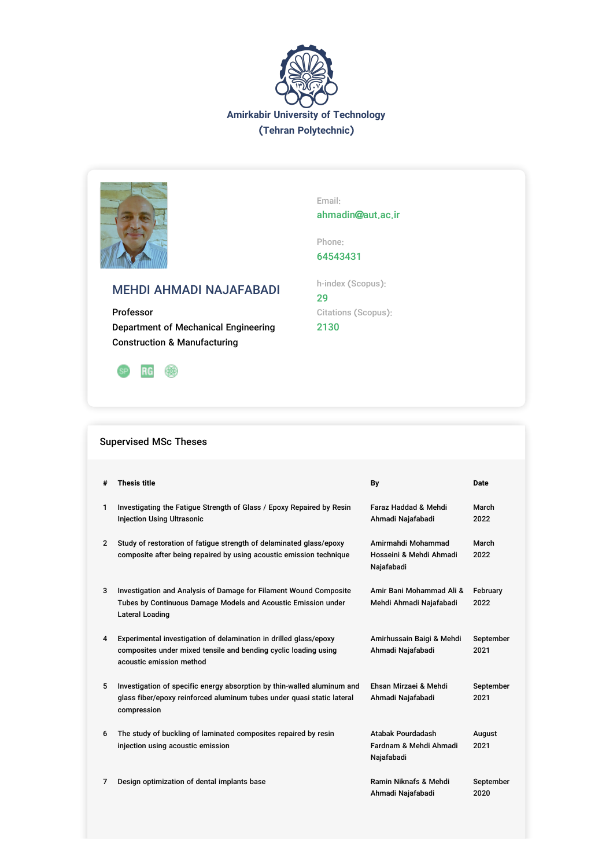



Email: ahmadin@aut.ac.ir

Phone: 64543431

## MEHDI AHMADI NAJAFABADI

Professor Department of Mechanical Engineering Construction & Manufacturing



# h-index (Scopus): 29 Citations (Scopus):

2130

### Supervised MSc Theses

| #              | <b>Thesis title</b>                                                                                                                                              | By                                                          | <b>Date</b>       |
|----------------|------------------------------------------------------------------------------------------------------------------------------------------------------------------|-------------------------------------------------------------|-------------------|
| 1              | Investigating the Fatigue Strength of Glass / Epoxy Repaired by Resin<br><b>Injection Using Ultrasonic</b>                                                       | Faraz Haddad & Mehdi<br>Ahmadi Najafabadi                   | March<br>2022     |
| $\overline{2}$ | Study of restoration of fatigue strength of delaminated glass/epoxy<br>composite after being repaired by using acoustic emission technique                       | Amirmahdi Mohammad<br>Hosseini & Mehdi Ahmadi<br>Najafabadi | March<br>2022     |
| 3              | Investigation and Analysis of Damage for Filament Wound Composite<br>Tubes by Continuous Damage Models and Acoustic Emission under<br>Lateral Loading            | Amir Bani Mohammad Ali &<br>Mehdi Ahmadi Najafabadi         | February<br>2022  |
| 4              | Experimental investigation of delamination in drilled glass/epoxy<br>composites under mixed tensile and bending cyclic loading using<br>acoustic emission method | Amirhussain Baigi & Mehdi<br>Ahmadi Najafabadi              | September<br>2021 |
| 5              | Investigation of specific energy absorption by thin-walled aluminum and<br>glass fiber/epoxy reinforced aluminum tubes under quasi static lateral<br>compression | Ehsan Mirzaei & Mehdi<br>Ahmadi Najafabadi                  | September<br>2021 |
| 6              | The study of buckling of laminated composites repaired by resin<br>injection using acoustic emission                                                             | Atabak Pourdadash<br>Fardnam & Mehdi Ahmadi<br>Najafabadi   | August<br>2021    |
| 7              | Design optimization of dental implants base                                                                                                                      | Ramin Niknafs & Mehdi<br>Ahmadi Najafabadi                  | September<br>2020 |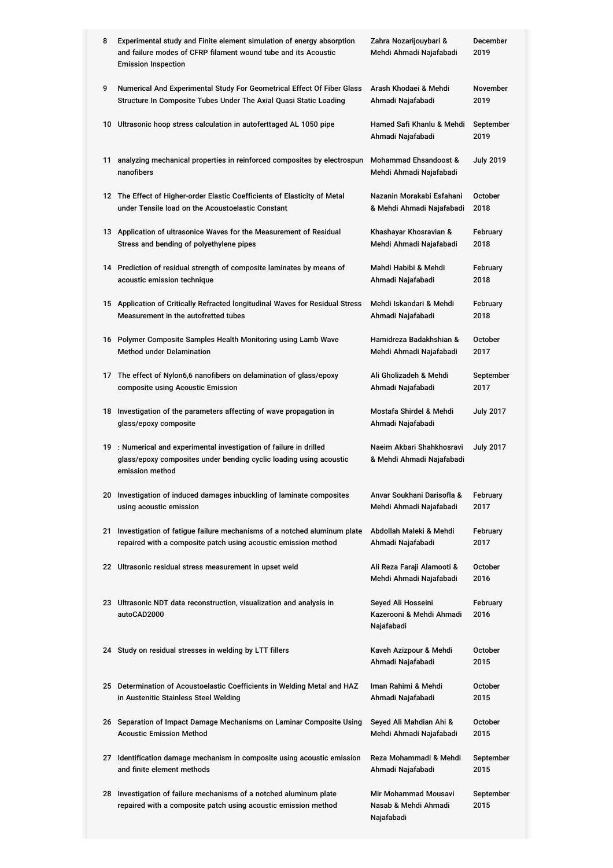| 8  | Experimental study and Finite element simulation of energy absorption<br>and failure modes of CFRP filament wound tube and its Acoustic<br><b>Emission Inspection</b> | Zahra Nozarijouybari &<br>Mehdi Ahmadi Najafabadi            | December<br>2019  |
|----|-----------------------------------------------------------------------------------------------------------------------------------------------------------------------|--------------------------------------------------------------|-------------------|
| 9  | Numerical And Experimental Study For Geometrical Effect Of Fiber Glass                                                                                                | Arash Khodaei & Mehdi                                        | November          |
|    | Structure In Composite Tubes Under The Axial Quasi Static Loading                                                                                                     | Ahmadi Najafabadi                                            | 2019              |
|    | 10 Ultrasonic hoop stress calculation in autoferttaged AL 1050 pipe                                                                                                   | Hamed Safi Khanlu & Mehdi<br>Ahmadi Najafabadi               | September<br>2019 |
| 11 | analyzing mechanical properties in reinforced composites by electrospun<br>nanofibers                                                                                 | Mohammad Ehsandoost &<br>Mehdi Ahmadi Najafabadi             | <b>July 2019</b>  |
|    | 12 The Effect of Higher-order Elastic Coefficients of Elasticity of Metal                                                                                             | Nazanin Morakabi Esfahani                                    | October           |
|    | under Tensile load on the Acoustoelastic Constant                                                                                                                     | & Mehdi Ahmadi Najafabadi                                    | 2018              |
|    | 13 Application of ultrasonice Waves for the Measurement of Residual                                                                                                   | Khashayar Khosravian &                                       | February          |
|    | Stress and bending of polyethylene pipes                                                                                                                              | Mehdi Ahmadi Najafabadi                                      | 2018              |
|    | 14 Prediction of residual strength of composite laminates by means of                                                                                                 | Mahdi Habibi & Mehdi                                         | February          |
|    | acoustic emission technique                                                                                                                                           | Ahmadi Najafabadi                                            | 2018              |
|    | 15 Application of Critically Refracted longitudinal Waves for Residual Stress                                                                                         | Mehdi Iskandari & Mehdi                                      | February          |
|    | Measurement in the autofretted tubes                                                                                                                                  | Ahmadi Najafabadi                                            | 2018              |
|    | 16 Polymer Composite Samples Health Monitoring using Lamb Wave                                                                                                        | Hamidreza Badakhshian &                                      | October           |
|    | <b>Method under Delamination</b>                                                                                                                                      | Mehdi Ahmadi Najafabadi                                      | 2017              |
| 17 | The effect of Nylon6,6 nanofibers on delamination of glass/epoxy                                                                                                      | Ali Gholizadeh & Mehdi                                       | September         |
|    | composite using Acoustic Emission                                                                                                                                     | Ahmadi Najafabadi                                            | 2017              |
| 18 | Investigation of the parameters affecting of wave propagation in<br>glass/epoxy composite                                                                             | Mostafa Shirdel & Mehdi<br>Ahmadi Najafabadi                 | <b>July 2017</b>  |
|    | 19 : Numerical and experimental investigation of failure in drilled<br>glass/epoxy composites under bending cyclic loading using acoustic<br>emission method          | Naeim Akbari Shahkhosravi<br>& Mehdi Ahmadi Najafabadi       | <b>July 2017</b>  |
|    | 20 Investigation of induced damages inbuckling of laminate composites                                                                                                 | Anvar Soukhani Darisofla &                                   | February          |
|    | using acoustic emission                                                                                                                                               | Mehdi Ahmadi Najafabadi                                      | 2017              |
| 21 | Investigation of fatigue failure mechanisms of a notched aluminum plate                                                                                               | Abdollah Maleki & Mehdi                                      | February          |
|    | repaired with a composite patch using acoustic emission method                                                                                                        | Ahmadi Najafabadi                                            | 2017              |
|    | 22 Ultrasonic residual stress measurement in upset weld                                                                                                               | Ali Reza Faraji Alamooti &<br>Mehdi Ahmadi Najafabadi        | October<br>2016   |
|    | 23 Ultrasonic NDT data reconstruction, visualization and analysis in<br>autoCAD2000                                                                                   | Seyed Ali Hosseini<br>Kazerooni & Mehdi Ahmadi<br>Najafabadi | February<br>2016  |
|    | 24 Study on residual stresses in welding by LTT fillers                                                                                                               | Kaveh Azizpour & Mehdi<br>Ahmadi Najafabadi                  | October<br>2015   |
|    | 25 Determination of Acoustoelastic Coefficients in Welding Metal and HAZ                                                                                              | Iman Rahimi & Mehdi                                          | October           |
|    | in Austenitic Stainless Steel Welding                                                                                                                                 | Ahmadi Najafabadi                                            | 2015              |
|    | 26 Separation of Impact Damage Mechanisms on Laminar Composite Using                                                                                                  | Seyed Ali Mahdian Ahi &                                      | October           |
|    | <b>Acoustic Emission Method</b>                                                                                                                                       | Mehdi Ahmadi Najafabadi                                      | 2015              |
|    | 27 Identification damage mechanism in composite using acoustic emission                                                                                               | Reza Mohammadi & Mehdi                                       | September         |
|    | and finite element methods                                                                                                                                            | Ahmadi Najafabadi                                            | 2015              |
|    | 28 Investigation of failure mechanisms of a notched aluminum plate<br>repaired with a composite patch using acoustic emission method                                  | Mir Mohammad Mousavi<br>Nasab & Mehdi Ahmadi<br>Najafabadi   | September<br>2015 |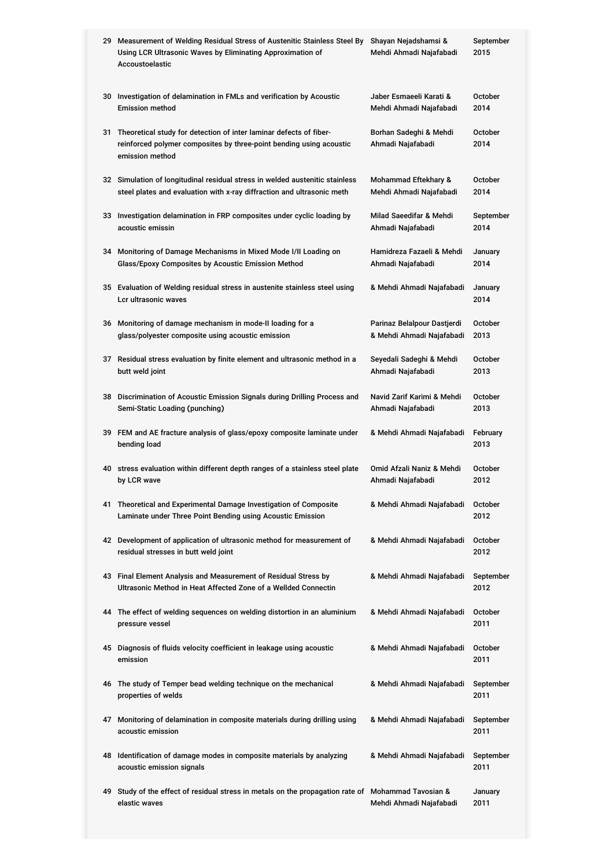|    | 29 Measurement of Welding Residual Stress of Austenitic Stainless Steel By<br>Using LCR Ultrasonic Waves by Eliminating Approximation of<br>Accoustoelastic     | Shayan Nejadshamsi &<br>Mehdi Ahmadi Najafabadi          | September<br>2015      |
|----|-----------------------------------------------------------------------------------------------------------------------------------------------------------------|----------------------------------------------------------|------------------------|
|    | 30 Investigation of delamination in FMLs and verification by Acoustic<br><b>Emission method</b>                                                                 | Jaber Esmaeeli Karati &<br>Mehdi Ahmadi Najafabadi       | <b>October</b><br>2014 |
|    | 31 Theoretical study for detection of inter laminar defects of fiber-<br>reinforced polymer composites by three-point bending using acoustic<br>emission method | Borhan Sadeghi & Mehdi<br>Ahmadi Najafabadi              | <b>October</b><br>2014 |
|    | 32 Simulation of longitudinal residual stress in welded austenitic stainless<br>steel plates and evaluation with x-ray diffraction and ultrasonic meth          | Mohammad Eftekhary &<br>Mehdi Ahmadi Najafabadi          | <b>October</b><br>2014 |
|    | 33 Investigation delamination in FRP composites under cyclic loading by<br>acoustic emissin                                                                     | Milad Saeedifar & Mehdi<br>Ahmadi Najafabadi             |                        |
|    | 34 Monitoring of Damage Mechanisms in Mixed Mode I/II Loading on<br>Glass/Epoxy Composites by Acoustic Emission Method                                          | Hamidreza Fazaeli & Mehdi<br>Ahmadi Najafabadi           | January<br>2014        |
|    | 35 Evaluation of Welding residual stress in austenite stainless steel using<br>Lcr ultrasonic waves                                                             | & Mehdi Ahmadi Najafabadi                                | January<br>2014        |
|    | 36 Monitoring of damage mechanism in mode-II loading for a<br>glass/polyester composite using acoustic emission                                                 | Parinaz Belalpour Dastjerdi<br>& Mehdi Ahmadi Najafabadi | October<br>2013        |
|    | 37 Residual stress evaluation by finite element and ultrasonic method in a<br>butt weld joint                                                                   | Seyedali Sadeghi & Mehdi<br>Ahmadi Najafabadi            | October<br>2013        |
|    | 38 Discrimination of Acoustic Emission Signals during Drilling Process and<br>Semi-Static Loading (punching)                                                    | Navid Zarif Karimi & Mehdi<br>Ahmadi Najafabadi          | October<br>2013        |
|    | 39 FEM and AE fracture analysis of glass/epoxy composite laminate under<br>bending load                                                                         | & Mehdi Ahmadi Najafabadi                                | February<br>2013       |
|    | 40 stress evaluation within different depth ranges of a stainless steel plate<br>by LCR wave                                                                    | Omid Afzali Naniz & Mehdi<br>Ahmadi Najafabadi           | October<br>2012        |
|    | 41 Theoretical and Experimental Damage Investigation of Composite<br>Laminate under Three Point Bending using Acoustic Emission                                 | & Mehdi Ahmadi Najafabadi                                | October<br>2012        |
|    | 42 Development of application of ultrasonic method for measurement of<br>residual stresses in butt weld joint                                                   | & Mehdi Ahmadi Najafabadi                                | October<br>2012        |
|    | 43 Final Element Analysis and Measurement of Residual Stress by<br>& Mehdi Ahmadi Najafabadi<br>Ultrasonic Method in Heat Affected Zone of a Wellded Connectin  |                                                          | September<br>2012      |
|    | 44 The effect of welding sequences on welding distortion in an aluminium<br>pressure vessel                                                                     | & Mehdi Ahmadi Najafabadi                                | October<br>2011        |
|    | 45 Diagnosis of fluids velocity coefficient in leakage using acoustic<br>emission                                                                               | & Mehdi Ahmadi Najafabadi                                | October<br>2011        |
|    | 46 The study of Temper bead welding technique on the mechanical<br>properties of welds                                                                          | & Mehdi Ahmadi Najafabadi                                | September<br>2011      |
| 47 | Monitoring of delamination in composite materials during drilling using<br>acoustic emission                                                                    | & Mehdi Ahmadi Najafabadi                                | September<br>2011      |
|    | 48 Identification of damage modes in composite materials by analyzing<br>acoustic emission signals                                                              | & Mehdi Ahmadi Najafabadi                                | September<br>2011      |
| 49 | Study of the effect of residual stress in metals on the propagation rate of Mohammad Tavosian &<br>elastic waves                                                | Mehdi Ahmadi Najafabadi                                  | January<br>2011        |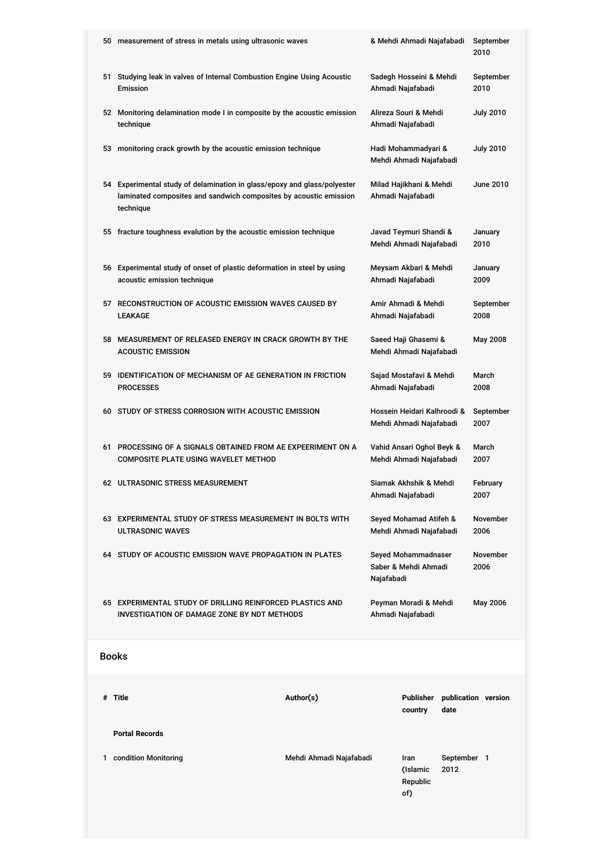|      | 50 measurement of stress in metals using ultrasonic waves                                                                                                  |                         |                                                   | & Mehdi Ahmadi Najafabadi                              |                     | September<br>2010   |
|------|------------------------------------------------------------------------------------------------------------------------------------------------------------|-------------------------|---------------------------------------------------|--------------------------------------------------------|---------------------|---------------------|
| 51   | Studying leak in valves of Internal Combustion Engine Using Acoustic<br>Emission                                                                           |                         | Sadegh Hosseini & Mehdi<br>Ahmadi Najafabadi      |                                                        | September<br>2010   |                     |
|      | 52 Monitoring delamination mode I in composite by the acoustic emission<br>technique                                                                       |                         | Alireza Souri & Mehdi<br>Ahmadi Najafabadi        |                                                        | <b>July 2010</b>    |                     |
| 53   | monitoring crack growth by the acoustic emission technique                                                                                                 |                         | Hadi Mohammadyari &<br>Mehdi Ahmadi Najafabadi    |                                                        | <b>July 2010</b>    |                     |
|      | 54 Experimental study of delamination in glass/epoxy and glass/polyester<br>laminated composites and sandwich composites by acoustic emission<br>technique |                         | Milad Hajikhani & Mehdi<br>Ahmadi Najafabadi      |                                                        |                     | <b>June 2010</b>    |
|      | 55 fracture toughness evalution by the acoustic emission technique                                                                                         |                         | Javad Teymuri Shandi &<br>Mehdi Ahmadi Najafabadi |                                                        |                     | January<br>2010     |
|      | 56 Experimental study of onset of plastic deformation in steel by using<br>acoustic emission technique                                                     |                         | Meysam Akbari & Mehdi<br>Ahmadi Najafabadi        |                                                        |                     | January<br>2009     |
| 57   | RECONSTRUCTION OF ACOUSTIC EMISSION WAVES CAUSED BY<br>LEAKAGE                                                                                             |                         | Amir Ahmadi & Mehdi<br>Ahmadi Najafabadi          |                                                        | September<br>2008   |                     |
| 58   | MEASUREMENT OF RELEASED ENERGY IN CRACK GROWTH BY THE<br><b>ACOUSTIC EMISSION</b>                                                                          |                         | Saeed Haji Ghasemi &<br>Mehdi Ahmadi Najafabadi   |                                                        | May 2008            |                     |
| 59   | <b>IDENTIFICATION OF MECHANISM OF AE GENERATION IN FRICTION</b><br><b>PROCESSES</b>                                                                        |                         |                                                   | Sajad Mostafavi & Mehdi<br>Ahmadi Najafabadi           |                     | March<br>2008       |
|      | 60 STUDY OF STRESS CORROSION WITH ACOUSTIC EMISSION                                                                                                        |                         |                                                   | Hossein Heidari Kalhroodi &<br>Mehdi Ahmadi Najafabadi |                     | September<br>2007   |
| 61 - | PROCESSING OF A SIGNALS OBTAINED FROM AE EXPEERIMENT ON A<br><b>COMPOSITE PLATE USING WAVELET METHOD</b>                                                   |                         |                                                   | Vahid Ansari Oghol Beyk &<br>Mehdi Ahmadi Najafabadi   |                     | March<br>2007       |
|      | 62 ULTRASONIC STRESS MEASUREMENT                                                                                                                           |                         |                                                   | Siamak Akhshik & Mehdi<br>Ahmadi Najafabadi            |                     | February<br>2007    |
|      | Seyed Mohamad Atifeh &<br>63 EXPERIMENTAL STUDY OF STRESS MEASUREMENT IN BOLTS WITH<br>Mehdi Ahmadi Najafabadi<br><b>ULTRASONIC WAVES</b>                  |                         |                                                   | November<br>2006                                       |                     |                     |
|      | 64 STUDY OF ACOUSTIC EMISSION WAVE PROPAGATION IN PLATES                                                                                                   |                         | Najafabadi                                        | Seyed Mohammadnaser<br>Saber & Mehdi Ahmadi            |                     | November<br>2006    |
|      | 65 EXPERIMENTAL STUDY OF DRILLING REINFORCED PLASTICS AND<br>INVESTIGATION OF DAMAGE ZONE BY NDT METHODS                                                   |                         |                                                   | Peyman Moradi & Mehdi<br>Ahmadi Najafabadi             |                     | May 2006            |
|      | <b>Books</b>                                                                                                                                               |                         |                                                   |                                                        |                     |                     |
|      | # Title                                                                                                                                                    | Author(s)               |                                                   | <b>Publisher</b><br>country                            | date                | publication version |
|      | <b>Portal Records</b>                                                                                                                                      |                         |                                                   |                                                        |                     |                     |
|      | 1 condition Monitoring                                                                                                                                     | Mehdi Ahmadi Najafabadi |                                                   | Iran<br>(Islamic<br>Republic<br>of)                    | September 1<br>2012 |                     |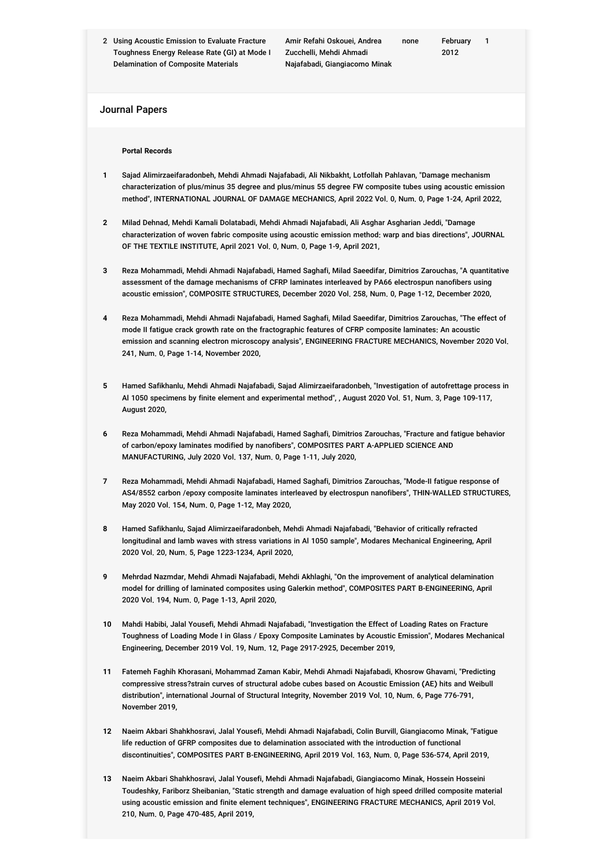2 Using Acoustic Emission to Evaluate Fracture Toughness Energy Release Rate (GI) at Mode I Delamination of Composite Materials

Amir Refahi Oskouei, Andrea Zucchelli, Mehdi Ahmadi Najafabadi, Giangiacomo Minak

1

#### Journal Papers

#### **Portal Records**

- **1** Sajad Alimirzaeifaradonbeh, Mehdi Ahmadi Najafabadi, Ali Nikbakht, Lotfollah Pahlavan, "Damage mechanism characterization of plus/minus 35 degree and plus/minus 55 degree FW composite tubes using acoustic emission method", INTERNATIONAL JOURNAL OF DAMAGE MECHANICS, April 2022 Vol. 0, Num. 0, Page 1-24, April 2022,
- **2** Milad Dehnad, Mehdi Kamali Dolatabadi, Mehdi Ahmadi Najafabadi, Ali Asghar Asgharian Jeddi, "Damage characterization of woven fabric composite using acoustic emission method: warp and bias directions", JOURNAL OF THE TEXTILE INSTITUTE, April 2021 Vol. 0, Num. 0, Page 1-9, April 2021,
- **3** Reza Mohammadi, Mehdi Ahmadi Najafabadi, Hamed Saghafi, Milad Saeedifar, Dimitrios Zarouchas, "A quantitative assessment of the damage mechanisms of CFRP laminates interleaved by PA66 electrospun nanofibers using acoustic emission", COMPOSITE STRUCTURES, December 2020 Vol. 258, Num. 0, Page 1-12, December 2020,
- **4** Reza Mohammadi, Mehdi Ahmadi Najafabadi, Hamed Saghafi, Milad Saeedifar, Dimitrios Zarouchas, "The effect of mode II fatigue crack growth rate on the fractographic features of CFRP composite laminates: An acoustic emission and scanning electron microscopy analysis", ENGINEERING FRACTURE MECHANICS, November 2020 Vol. 241, Num. 0, Page 1-14, November 2020,
- **5** Hamed Safikhanlu, Mehdi Ahmadi Najafabadi, Sajad Alimirzaeifaradonbeh, "Investigation of autofrettage process in Al 1050 specimens by finite element and experimental method", , August 2020 Vol. 51, Num. 3, Page 109-117, August 2020,
- **6** Reza Mohammadi, Mehdi Ahmadi Najafabadi, Hamed Saghafi, Dimitrios Zarouchas, "Fracture and fatigue behavior of carbon/epoxy laminates modified by nanofibers", COMPOSITES PART A-APPLIED SCIENCE AND MANUFACTURING, July 2020 Vol. 137, Num. 0, Page 1-11, July 2020,
- **7** Reza Mohammadi, Mehdi Ahmadi Najafabadi, Hamed Saghafi, Dimitrios Zarouchas, "Mode-II fatigue response of AS4/8552 carbon /epoxy composite laminates interleaved by electrospun nanofibers", THIN-WALLED STRUCTURES, May 2020 Vol. 154, Num. 0, Page 1-12, May 2020,
- **8** Hamed Safikhanlu, Sajad Alimirzaeifaradonbeh, Mehdi Ahmadi Najafabadi, "Behavior of critically refracted longitudinal and lamb waves with stress variations in Al 1050 sample", Modares Mechanical Engineering, April 2020 Vol. 20, Num. 5, Page 1223-1234, April 2020,
- **9** Mehrdad Nazmdar, Mehdi Ahmadi Najafabadi, Mehdi Akhlaghi, "On the improvement of analytical delamination model for drilling of laminated composites using Galerkin method", COMPOSITES PART B-ENGINEERING, April 2020 Vol. 194, Num. 0, Page 1-13, April 2020,
- **10** Mahdi Habibi, Jalal Yousefi, Mehdi Ahmadi Najafabadi, "Investigation the Effect of Loading Rates on Fracture Toughness of Loading Mode I in Glass / Epoxy Composite Laminates by Acoustic Emission", Modares Mechanical Engineering, December 2019 Vol. 19, Num. 12, Page 2917-2925, December 2019,
- **11** Fatemeh Faghih Khorasani, Mohammad Zaman Kabir, Mehdi Ahmadi Najafabadi, Khosrow Ghavami, "Predicting compressive stress?strain curves of structural adobe cubes based on Acoustic Emission (AE) hits and Weibull distribution", international Journal of Structural Integrity, November 2019 Vol. 10, Num. 6, Page 776-791, November 2019,
- **12** Naeim Akbari Shahkhosravi, Jalal Yousefi, Mehdi Ahmadi Najafabadi, Colin Burvill, Giangiacomo Minak, "Fatigue life reduction of GFRP composites due to delamination associated with the introduction of functional discontinuities", COMPOSITES PART B-ENGINEERING, April 2019 Vol. 163, Num. 0, Page 536-574, April 2019,
- **13** Naeim Akbari Shahkhosravi, Jalal Yousefi, Mehdi Ahmadi Najafabadi, Giangiacomo Minak, Hossein Hosseini Toudeshky, Fariborz Sheibanian, "Static strength and damage evaluation of high speed drilled composite material using acoustic emission and finite element techniques", ENGINEERING FRACTURE MECHANICS, April 2019 Vol. 210, Num. 0, Page 470-485, April 2019,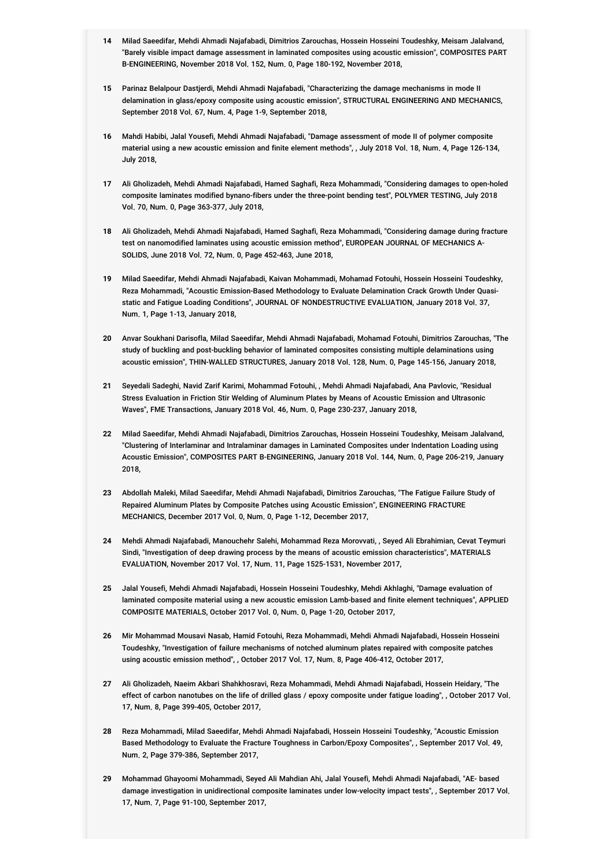- **14** Milad Saeedifar, Mehdi Ahmadi Najafabadi, Dimitrios Zarouchas, Hossein Hosseini Toudeshky, Meisam Jalalvand, "Barely visible impact damage assessment in laminated composites using acoustic emission", COMPOSITES PART B-ENGINEERING, November 2018 Vol. 152, Num. 0, Page 180-192, November 2018,
- **15** Parinaz Belalpour Dastjerdi, Mehdi Ahmadi Najafabadi, "Characterizing the damage mechanisms in mode II delamination in glass/epoxy composite using acoustic emission", STRUCTURAL ENGINEERING AND MECHANICS, September 2018 Vol. 67, Num. 4, Page 1-9, September 2018,
- **16** Mahdi Habibi, Jalal Yousefi, Mehdi Ahmadi Najafabadi, "Damage assessment of mode II of polymer composite material using a new acoustic emission and finite element methods", , July 2018 Vol. 18, Num. 4, Page 126-134, July 2018,
- **17** Ali Gholizadeh, Mehdi Ahmadi Najafabadi, Hamed Saghafi, Reza Mohammadi, "Considering damages to open-holed composite laminates modified bynano-fibers under the three-point bending test", POLYMER TESTING, July 2018 Vol. 70, Num. 0, Page 363-377, July 2018,
- **18** Ali Gholizadeh, Mehdi Ahmadi Najafabadi, Hamed Saghafi, Reza Mohammadi, "Considering damage during fracture test on nanomodified laminates using acoustic emission method", EUROPEAN JOURNAL OF MECHANICS A-SOLIDS, June 2018 Vol. 72, Num. 0, Page 452-463, June 2018,
- **19** Milad Saeedifar, Mehdi Ahmadi Najafabadi, Kaivan Mohammadi, Mohamad Fotouhi, Hossein Hosseini Toudeshky, Reza Mohammadi, "Acoustic Emission-Based Methodology to Evaluate Delamination Crack Growth Under Quasistatic and Fatigue Loading Conditions", JOURNAL OF NONDESTRUCTIVE EVALUATION, January 2018 Vol. 37, Num. 1, Page 1-13, January 2018,
- **20** Anvar Soukhani Darisofla, Milad Saeedifar, Mehdi Ahmadi Najafabadi, Mohamad Fotouhi, Dimitrios Zarouchas, "The study of buckling and post-buckling behavior of laminated composites consisting multiple delaminations using acoustic emission", THIN-WALLED STRUCTURES, January 2018 Vol. 128, Num. 0, Page 145-156, January 2018,
- **21** Seyedali Sadeghi, Navid Zarif Karimi, Mohammad Fotouhi, , Mehdi Ahmadi Najafabadi, Ana Pavlovic, "Residual Stress Evaluation in Friction Stir Welding of Aluminum Plates by Means of Acoustic Emission and Ultrasonic Waves", FME Transactions, January 2018 Vol. 46, Num. 0, Page 230-237, January 2018,
- **22** Milad Saeedifar, Mehdi Ahmadi Najafabadi, Dimitrios Zarouchas, Hossein Hosseini Toudeshky, Meisam Jalalvand, "Clustering of Interlaminar and Intralaminar damages in Laminated Composites under Indentation Loading using Acoustic Emission", COMPOSITES PART B-ENGINEERING, January 2018 Vol. 144, Num. 0, Page 206-219, January 2018,
- **23** Abdollah Maleki, Milad Saeedifar, Mehdi Ahmadi Najafabadi, Dimitrios Zarouchas, "The Fatigue Failure Study of Repaired Aluminum Plates by Composite Patches using Acoustic Emission", ENGINEERING FRACTURE MECHANICS, December 2017 Vol. 0, Num. 0, Page 1-12, December 2017,
- **24** Mehdi Ahmadi Najafabadi, Manouchehr Salehi, Mohammad Reza Morovvati, , Seyed Ali Ebrahimian, Cevat Teymuri Sindi, "Investigation of deep drawing process by the means of acoustic emission characteristics", MATERIALS EVALUATION, November 2017 Vol. 17, Num. 11, Page 1525-1531, November 2017,
- **25** Jalal Yousefi, Mehdi Ahmadi Najafabadi, Hossein Hosseini Toudeshky, Mehdi Akhlaghi, "Damage evaluation of laminated composite material using a new acoustic emission Lamb-based and finite element techniques", APPLIED COMPOSITE MATERIALS, October 2017 Vol. 0, Num. 0, Page 1-20, October 2017,
- **26** Mir Mohammad Mousavi Nasab, Hamid Fotouhi, Reza Mohammadi, Mehdi Ahmadi Najafabadi, Hossein Hosseini Toudeshky, "Investigation of failure mechanisms of notched aluminum plates repaired with composite patches using acoustic emission method", , October 2017 Vol. 17, Num. 8, Page 406-412, October 2017,
- **27** Ali Gholizadeh, Naeim Akbari Shahkhosravi, Reza Mohammadi, Mehdi Ahmadi Najafabadi, Hossein Heidary, "The effect of carbon nanotubes on the life of drilled glass / epoxy composite under fatigue loading", , October 2017 Vol. 17, Num. 8, Page 399-405, October 2017,
- **28** Reza Mohammadi, Milad Saeedifar, Mehdi Ahmadi Najafabadi, Hossein Hosseini Toudeshky, "Acoustic Emission Based Methodology to Evaluate the Fracture Toughness in Carbon/Epoxy Composites", , September 2017 Vol. 49, Num. 2, Page 379-386, September 2017,
- **29** Mohammad Ghayoomi Mohammadi, Seyed Ali Mahdian Ahi, Jalal Yousefi, Mehdi Ahmadi Najafabadi, "AE- based damage investigation in unidirectional composite laminates under low-velocity impact tests", , September 2017 Vol. 17, Num. 7, Page 91-100, September 2017,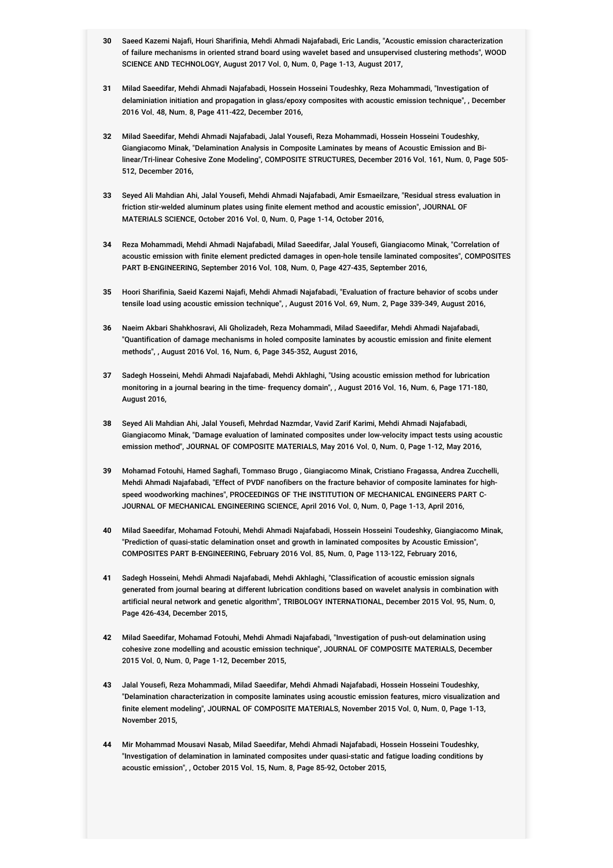- **30** Saeed Kazemi Najafi, Houri Sharifinia, Mehdi Ahmadi Najafabadi, Eric Landis, "Acoustic emission characterization of failure mechanisms in oriented strand board using wavelet based and unsupervised clustering methods", WOOD SCIENCE AND TECHNOLOGY, August 2017 Vol. 0, Num. 0, Page 1-13, August 2017,
- **31** Milad Saeedifar, Mehdi Ahmadi Najafabadi, Hossein Hosseini Toudeshky, Reza Mohammadi, "Investigation of delaminiation initiation and propagation in glass/epoxy composites with acoustic emission technique", , December 2016 Vol. 48, Num. 8, Page 411-422, December 2016,
- **32** Milad Saeedifar, Mehdi Ahmadi Najafabadi, Jalal Yousefi, Reza Mohammadi, Hossein Hosseini Toudeshky, Giangiacomo Minak, "Delamination Analysis in Composite Laminates by means of Acoustic Emission and Bilinear/Tri-linear Cohesive Zone Modeling", COMPOSITE STRUCTURES, December 2016 Vol. 161, Num. 0, Page 505- 512, December 2016,
- **33** Seyed Ali Mahdian Ahi, Jalal Yousefi, Mehdi Ahmadi Najafabadi, Amir Esmaeilzare, "Residual stress evaluation in friction stir-welded aluminum plates using finite element method and acoustic emission", JOURNAL OF MATERIALS SCIENCE, October 2016 Vol. 0, Num. 0, Page 1-14, October 2016,
- **34** Reza Mohammadi, Mehdi Ahmadi Najafabadi, Milad Saeedifar, Jalal Yousefi, Giangiacomo Minak, "Correlation of acoustic emission with finite element predicted damages in open-hole tensile laminated composites", COMPOSITES PART B-ENGINEERING, September 2016 Vol. 108, Num. 0, Page 427-435, September 2016,
- **35** Hoori Sharifinia, Saeid Kazemi Najafi, Mehdi Ahmadi Najafabadi, "Evaluation of fracture behavior of scobs under tensile load using acoustic emission technique", , August 2016 Vol. 69, Num. 2, Page 339-349, August 2016,
- **36** Naeim Akbari Shahkhosravi, Ali Gholizadeh, Reza Mohammadi, Milad Saeedifar, Mehdi Ahmadi Najafabadi, "Quantification of damage mechanisms in holed composite laminates by acoustic emission and finite element methods", , August 2016 Vol. 16, Num. 6, Page 345-352, August 2016,
- **37** Sadegh Hosseini, Mehdi Ahmadi Najafabadi, Mehdi Akhlaghi, "Using acoustic emission method for lubrication monitoring in a journal bearing in the time- frequency domain", , August 2016 Vol. 16, Num. 6, Page 171-180, August 2016,
- **38** Seyed Ali Mahdian Ahi, Jalal Yousefi, Mehrdad Nazmdar, Vavid Zarif Karimi, Mehdi Ahmadi Najafabadi, Giangiacomo Minak, "Damage evaluation of laminated composites under low-velocity impact tests using acoustic emission method", JOURNAL OF COMPOSITE MATERIALS, May 2016 Vol. 0, Num. 0, Page 1-12, May 2016,
- **39** Mohamad Fotouhi, Hamed Saghafi, Tommaso Brugo , Giangiacomo Minak, Cristiano Fragassa, Andrea Zucchelli, Mehdi Ahmadi Najafabadi, "Effect of PVDF nanofibers on the fracture behavior of composite laminates for highspeed woodworking machines", PROCEEDINGS OF THE INSTITUTION OF MECHANICAL ENGINEERS PART C-JOURNAL OF MECHANICAL ENGINEERING SCIENCE, April 2016 Vol. 0, Num. 0, Page 1-13, April 2016,
- **40** Milad Saeedifar, Mohamad Fotouhi, Mehdi Ahmadi Najafabadi, Hossein Hosseini Toudeshky, Giangiacomo Minak, "Prediction of quasi-static delamination onset and growth in laminated composites by Acoustic Emission", COMPOSITES PART B-ENGINEERING, February 2016 Vol. 85, Num. 0, Page 113-122, February 2016,
- **41** Sadegh Hosseini, Mehdi Ahmadi Najafabadi, Mehdi Akhlaghi, "Classification of acoustic emission signals generated from journal bearing at different lubrication conditions based on wavelet analysis in combination with artificial neural network and genetic algorithm", TRIBOLOGY INTERNATIONAL, December 2015 Vol. 95, Num. 0, Page 426-434, December 2015,
- **42** Milad Saeedifar, Mohamad Fotouhi, Mehdi Ahmadi Najafabadi, "Investigation of push-out delamination using cohesive zone modelling and acoustic emission technique", JOURNAL OF COMPOSITE MATERIALS, December 2015 Vol. 0, Num. 0, Page 1-12, December 2015,
- **43** Jalal Yousefi, Reza Mohammadi, Milad Saeedifar, Mehdi Ahmadi Najafabadi, Hossein Hosseini Toudeshky, "Delamination characterization in composite laminates using acoustic emission features, micro visualization and finite element modeling", JOURNAL OF COMPOSITE MATERIALS, November 2015 Vol. 0, Num. 0, Page 1-13, November 2015,
- **44** Mir Mohammad Mousavi Nasab, Milad Saeedifar, Mehdi Ahmadi Najafabadi, Hossein Hosseini Toudeshky, "Investigation of delamination in laminated composites under quasi-static and fatigue loading conditions by acoustic emission", , October 2015 Vol. 15, Num. 8, Page 85-92, October 2015,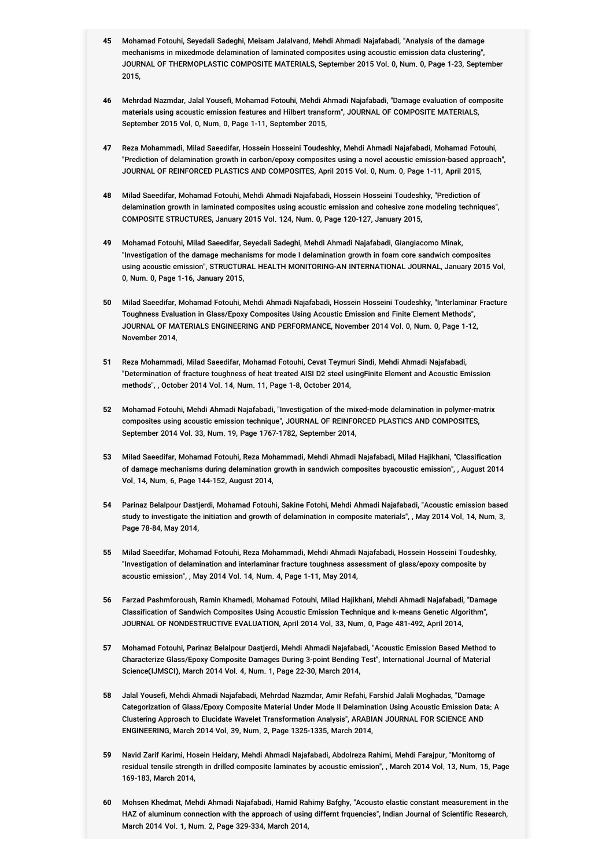- **45** Mohamad Fotouhi, Seyedali Sadeghi, Meisam Jalalvand, Mehdi Ahmadi Najafabadi, "Analysis of the damage mechanisms in mixedmode delamination of laminated composites using acoustic emission data clustering", JOURNAL OF THERMOPLASTIC COMPOSITE MATERIALS, September 2015 Vol. 0, Num. 0, Page 1-23, September 2015,
- **46** Mehrdad Nazmdar, Jalal Yousefi, Mohamad Fotouhi, Mehdi Ahmadi Najafabadi, "Damage evaluation of composite materials using acoustic emission features and Hilbert transform", JOURNAL OF COMPOSITE MATERIALS, September 2015 Vol. 0, Num. 0, Page 1-11, September 2015,
- **47** Reza Mohammadi, Milad Saeedifar, Hossein Hosseini Toudeshky, Mehdi Ahmadi Najafabadi, Mohamad Fotouhi, "Prediction of delamination growth in carbon/epoxy composites using a novel acoustic emission-based approach", JOURNAL OF REINFORCED PLASTICS AND COMPOSITES, April 2015 Vol. 0, Num. 0, Page 1-11, April 2015,
- **48** Milad Saeedifar, Mohamad Fotouhi, Mehdi Ahmadi Najafabadi, Hossein Hosseini Toudeshky, "Prediction of delamination growth in laminated composites using acoustic emission and cohesive zone modeling techniques", COMPOSITE STRUCTURES, January 2015 Vol. 124, Num. 0, Page 120-127, January 2015,
- **49** Mohamad Fotouhi, Milad Saeedifar, Seyedali Sadeghi, Mehdi Ahmadi Najafabadi, Giangiacomo Minak, "Investigation of the damage mechanisms for mode I delamination growth in foam core sandwich composites using acoustic emission", STRUCTURAL HEALTH MONITORING-AN INTERNATIONAL JOURNAL, January 2015 Vol. 0, Num. 0, Page 1-16, January 2015,
- **50** Milad Saeedifar, Mohamad Fotouhi, Mehdi Ahmadi Najafabadi, Hossein Hosseini Toudeshky, "Interlaminar Fracture Toughness Evaluation in Glass/Epoxy Composites Using Acoustic Emission and Finite Element Methods", JOURNAL OF MATERIALS ENGINEERING AND PERFORMANCE, November 2014 Vol. 0, Num. 0, Page 1-12, November 2014,
- **51** Reza Mohammadi, Milad Saeedifar, Mohamad Fotouhi, Cevat Teymuri Sindi, Mehdi Ahmadi Najafabadi, "Determination of fracture toughness of heat treated AISI D2 steel usingFinite Element and Acoustic Emission methods", , October 2014 Vol. 14, Num. 11, Page 1-8, October 2014,
- **52** Mohamad Fotouhi, Mehdi Ahmadi Najafabadi, "Investigation of the mixed-mode delamination in polymer-matrix composites using acoustic emission technique", JOURNAL OF REINFORCED PLASTICS AND COMPOSITES, September 2014 Vol. 33, Num. 19, Page 1767-1782, September 2014,
- **53** Milad Saeedifar, Mohamad Fotouhi, Reza Mohammadi, Mehdi Ahmadi Najafabadi, Milad Hajikhani, "Classification of damage mechanisms during delamination growth in sandwich composites byacoustic emission", , August 2014 Vol. 14, Num. 6, Page 144-152, August 2014,
- **54** Parinaz Belalpour Dastjerdi, Mohamad Fotouhi, Sakine Fotohi, Mehdi Ahmadi Najafabadi, "Acoustic emission based study to investigate the initiation and growth of delamination in composite materials", , May 2014 Vol. 14, Num. 3, Page 78-84, May 2014,
- **55** Milad Saeedifar, Mohamad Fotouhi, Reza Mohammadi, Mehdi Ahmadi Najafabadi, Hossein Hosseini Toudeshky, "Investigation of delamination and interlaminar fracture toughness assessment of glass/epoxy composite by acoustic emission", , May 2014 Vol. 14, Num. 4, Page 1-11, May 2014,
- **56** Farzad Pashmforoush, Ramin Khamedi, Mohamad Fotouhi, Milad Hajikhani, Mehdi Ahmadi Najafabadi, "Damage Classification of Sandwich Composites Using Acoustic Emission Technique and k-means Genetic Algorithm", JOURNAL OF NONDESTRUCTIVE EVALUATION, April 2014 Vol. 33, Num. 0, Page 481-492, April 2014,
- **57** Mohamad Fotouhi, Parinaz Belalpour Dastjerdi, Mehdi Ahmadi Najafabadi, "Acoustic Emission Based Method to Characterize Glass/Epoxy Composite Damages During 3-point Bending Test", International Journal of Material Science(IJMSCI), March 2014 Vol. 4, Num. 1, Page 22-30, March 2014,
- **58** Jalal Yousefi, Mehdi Ahmadi Najafabadi, Mehrdad Nazmdar, Amir Refahi, Farshid Jalali Moghadas, "Damage Categorization of Glass/Epoxy Composite Material Under Mode II Delamination Using Acoustic Emission Data: A Clustering Approach to Elucidate Wavelet Transformation Analysis", ARABIAN JOURNAL FOR SCIENCE AND ENGINEERING, March 2014 Vol. 39, Num. 2, Page 1325-1335, March 2014,
- **59** Navid Zarif Karimi, Hosein Heidary, Mehdi Ahmadi Najafabadi, Abdolreza Rahimi, Mehdi Farajpur, "Monitorng of residual tensile strength in drilled composite laminates by acoustic emission", , March 2014 Vol. 13, Num. 15, Page 169-183, March 2014,
- **60** Mohsen Khedmat, Mehdi Ahmadi Najafabadi, Hamid Rahimy Bafghy, "Acousto elastic constant measurement in the HAZ of aluminum connection with the approach of using differnt frquencies", Indian Journal of Scientific Research, March 2014 Vol. 1, Num. 2, Page 329-334, March 2014,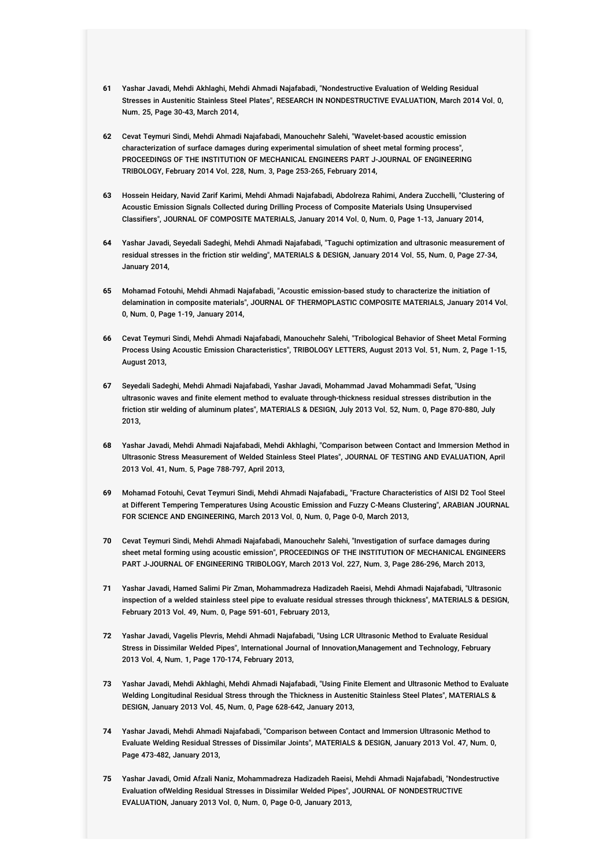- **61** Yashar Javadi, Mehdi Akhlaghi, Mehdi Ahmadi Najafabadi, "Nondestructive Evaluation of Welding Residual Stresses in Austenitic Stainless Steel Plates", RESEARCH IN NONDESTRUCTIVE EVALUATION, March 2014 Vol. 0, Num. 25, Page 30-43, March 2014,
- **62** Cevat Teymuri Sindi, Mehdi Ahmadi Najafabadi, Manouchehr Salehi, "Wavelet-based acoustic emission characterization of surface damages during experimental simulation of sheet metal forming process", PROCEEDINGS OF THE INSTITUTION OF MECHANICAL ENGINEERS PART J-JOURNAL OF ENGINEERING TRIBOLOGY, February 2014 Vol. 228, Num. 3, Page 253-265, February 2014,
- **63** Hossein Heidary, Navid Zarif Karimi, Mehdi Ahmadi Najafabadi, Abdolreza Rahimi, Andera Zucchelli, "Clustering of Acoustic Emission Signals Collected during Drilling Process of Composite Materials Using Unsupervised Classifiers", JOURNAL OF COMPOSITE MATERIALS, January 2014 Vol. 0, Num. 0, Page 1-13, January 2014,
- **64** Yashar Javadi, Seyedali Sadeghi, Mehdi Ahmadi Najafabadi, "Taguchi optimization and ultrasonic measurement of residual stresses in the friction stir welding", MATERIALS & DESIGN, January 2014 Vol. 55, Num. 0, Page 27-34, January 2014,
- **65** Mohamad Fotouhi, Mehdi Ahmadi Najafabadi, "Acoustic emission-based study to characterize the initiation of delamination in composite materials", JOURNAL OF THERMOPLASTIC COMPOSITE MATERIALS, January 2014 Vol. 0, Num. 0, Page 1-19, January 2014,
- **66** Cevat Teymuri Sindi, Mehdi Ahmadi Najafabadi, Manouchehr Salehi, "Tribological Behavior of Sheet Metal Forming Process Using Acoustic Emission Characteristics", TRIBOLOGY LETTERS, August 2013 Vol. 51, Num. 2, Page 1-15, August 2013,
- **67** Seyedali Sadeghi, Mehdi Ahmadi Najafabadi, Yashar Javadi, Mohammad Javad Mohammadi Sefat, "Using ultrasonic waves and finite element method to evaluate through-thickness residual stresses distribution in the friction stir welding of aluminum plates", MATERIALS & DESIGN, July 2013 Vol. 52, Num. 0, Page 870-880, July 2013,
- **68** Yashar Javadi, Mehdi Ahmadi Najafabadi, Mehdi Akhlaghi, "Comparison between Contact and Immersion Method in Ultrasonic Stress Measurement of Welded Stainless Steel Plates", JOURNAL OF TESTING AND EVALUATION, April 2013 Vol. 41, Num. 5, Page 788-797, April 2013,
- **69** Mohamad Fotouhi, Cevat Teymuri Sindi, Mehdi Ahmadi Najafabadi,, "Fracture Characteristics of AISI D2 Tool Steel at Different Tempering Temperatures Using Acoustic Emission and Fuzzy C-Means Clustering", ARABIAN JOURNAL FOR SCIENCE AND ENGINEERING, March 2013 Vol. 0, Num. 0, Page 0-0, March 2013,
- **70** Cevat Teymuri Sindi, Mehdi Ahmadi Najafabadi, Manouchehr Salehi, "Investigation of surface damages during sheet metal forming using acoustic emission", PROCEEDINGS OF THE INSTITUTION OF MECHANICAL ENGINEERS PART J-JOURNAL OF ENGINEERING TRIBOLOGY, March 2013 Vol. 227, Num. 3, Page 286-296, March 2013,
- **71** Yashar Javadi, Hamed Salimi Pir Zman, Mohammadreza Hadizadeh Raeisi, Mehdi Ahmadi Najafabadi, "Ultrasonic inspection of a welded stainless steel pipe to evaluate residual stresses through thickness", MATERIALS & DESIGN, February 2013 Vol. 49, Num. 0, Page 591-601, February 2013,
- **72** Yashar Javadi, Vagelis Plevris, Mehdi Ahmadi Najafabadi, "Using LCR Ultrasonic Method to Evaluate Residual Stress in Dissimilar Welded Pipes", International Journal of Innovation,Management and Technology, February 2013 Vol. 4, Num. 1, Page 170-174, February 2013,
- **73** Yashar Javadi, Mehdi Akhlaghi, Mehdi Ahmadi Najafabadi, "Using Finite Element and Ultrasonic Method to Evaluate Welding Longitudinal Residual Stress through the Thickness in Austenitic Stainless Steel Plates", MATERIALS & DESIGN, January 2013 Vol. 45, Num. 0, Page 628-642, January 2013,
- **74** Yashar Javadi, Mehdi Ahmadi Najafabadi, "Comparison between Contact and Immersion Ultrasonic Method to Evaluate Welding Residual Stresses of Dissimilar Joints", MATERIALS & DESIGN, January 2013 Vol. 47, Num. 0, Page 473-482, January 2013,
- **75** Yashar Javadi, Omid Afzali Naniz, Mohammadreza Hadizadeh Raeisi, Mehdi Ahmadi Najafabadi, "Nondestructive Evaluation ofWelding Residual Stresses in Dissimilar Welded Pipes", JOURNAL OF NONDESTRUCTIVE EVALUATION, January 2013 Vol. 0, Num. 0, Page 0-0, January 2013,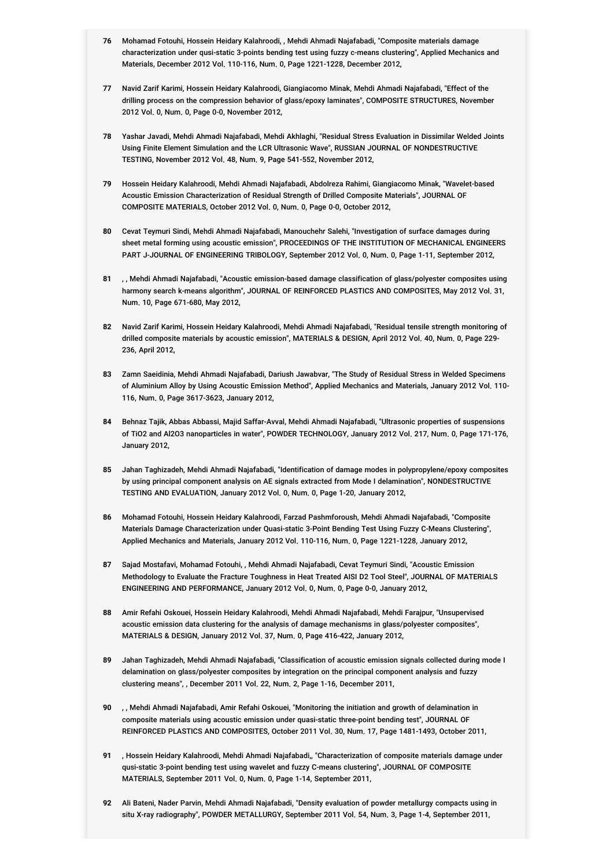- **76** Mohamad Fotouhi, Hossein Heidary Kalahroodi, , Mehdi Ahmadi Najafabadi, "Composite materials damage characterization under qusi-static 3-points bending test using fuzzy c-means clustering", Applied Mechanics and Materials, December 2012 Vol. 110-116, Num. 0, Page 1221-1228, December 2012,
- **77** Navid Zarif Karimi, Hossein Heidary Kalahroodi, Giangiacomo Minak, Mehdi Ahmadi Najafabadi, "Effect of the drilling process on the compression behavior of glass/epoxy laminates", COMPOSITE STRUCTURES, November 2012 Vol. 0, Num. 0, Page 0-0, November 2012,
- **78** Yashar Javadi, Mehdi Ahmadi Najafabadi, Mehdi Akhlaghi, "Residual Stress Evaluation in Dissimilar Welded Joints Using Finite Element Simulation and the LCR Ultrasonic Wave", RUSSIAN JOURNAL OF NONDESTRUCTIVE TESTING, November 2012 Vol. 48, Num. 9, Page 541-552, November 2012,
- **79** Hossein Heidary Kalahroodi, Mehdi Ahmadi Najafabadi, Abdolreza Rahimi, Giangiacomo Minak, "Wavelet-based Acoustic Emission Characterization of Residual Strength of Drilled Composite Materials", JOURNAL OF COMPOSITE MATERIALS, October 2012 Vol. 0, Num. 0, Page 0-0, October 2012,
- **80** Cevat Teymuri Sindi, Mehdi Ahmadi Najafabadi, Manouchehr Salehi, "Investigation of surface damages during sheet metal forming using acoustic emission", PROCEEDINGS OF THE INSTITUTION OF MECHANICAL ENGINEERS PART J-JOURNAL OF ENGINEERING TRIBOLOGY, September 2012 Vol. 0, Num. 0, Page 1-11, September 2012,
- **81** , , Mehdi Ahmadi Najafabadi, "Acoustic emission-based damage classification of glass/polyester composites using harmony search k-means algorithm", JOURNAL OF REINFORCED PLASTICS AND COMPOSITES, May 2012 Vol. 31, Num. 10, Page 671-680, May 2012,
- **82** Navid Zarif Karimi, Hossein Heidary Kalahroodi, Mehdi Ahmadi Najafabadi, "Residual tensile strength monitoring of drilled composite materials by acoustic emission", MATERIALS & DESIGN, April 2012 Vol. 40, Num. 0, Page 229- 236, April 2012,
- **83** Zamn Saeidinia, Mehdi Ahmadi Najafabadi, Dariush Jawabvar, "The Study of Residual Stress in Welded Specimens of Aluminium Alloy by Using Acoustic Emission Method", Applied Mechanics and Materials, January 2012 Vol. 110- 116, Num. 0, Page 3617-3623, January 2012,
- **84** Behnaz Tajik, Abbas Abbassi, Majid Saffar-Avval, Mehdi Ahmadi Najafabadi, "Ultrasonic properties of suspensions of TiO2 and Al2O3 nanoparticles in water", POWDER TECHNOLOGY, January 2012 Vol. 217, Num. 0, Page 171-176, January 2012,
- **85** Jahan Taghizadeh, Mehdi Ahmadi Najafabadi, "Identification of damage modes in polypropylene/epoxy composites by using principal component analysis on AE signals extracted from Mode I delamination", NONDESTRUCTIVE TESTING AND EVALUATION, January 2012 Vol. 0, Num. 0, Page 1-20, January 2012,
- **86** Mohamad Fotouhi, Hossein Heidary Kalahroodi, Farzad Pashmforoush, Mehdi Ahmadi Najafabadi, "Composite Materials Damage Characterization under Quasi-static 3-Point Bending Test Using Fuzzy C-Means Clustering", Applied Mechanics and Materials, January 2012 Vol. 110-116, Num. 0, Page 1221-1228, January 2012,
- **87** Sajad Mostafavi, Mohamad Fotouhi, , Mehdi Ahmadi Najafabadi, Cevat Teymuri Sindi, "Acoustic Emission Methodology to Evaluate the Fracture Toughness in Heat Treated AISI D2 Tool Steel", JOURNAL OF MATERIALS ENGINEERING AND PERFORMANCE, January 2012 Vol. 0, Num. 0, Page 0-0, January 2012,
- **88** Amir Refahi Oskouei, Hossein Heidary Kalahroodi, Mehdi Ahmadi Najafabadi, Mehdi Farajpur, "Unsupervised acoustic emission data clustering for the analysis of damage mechanisms in glass/polyester composites", MATERIALS & DESIGN, January 2012 Vol. 37, Num. 0, Page 416-422, January 2012,
- **89** Jahan Taghizadeh, Mehdi Ahmadi Najafabadi, "Classification of acoustic emission signals collected during mode I delamination on glass/polyester composites by integration on the principal component analysis and fuzzy clustering means", , December 2011 Vol. 22, Num. 2, Page 1-16, December 2011,
- **90** , , Mehdi Ahmadi Najafabadi, Amir Refahi Oskouei, "Monitoring the initiation and growth of delamination in composite materials using acoustic emission under quasi-static three-point bending test", JOURNAL OF REINFORCED PLASTICS AND COMPOSITES, October 2011 Vol. 30, Num. 17, Page 1481-1493, October 2011,
- **91** , Hossein Heidary Kalahroodi, Mehdi Ahmadi Najafabadi,, "Characterization of composite materials damage under qusi-static 3-point bending test using wavelet and fuzzy C-means clustering", JOURNAL OF COMPOSITE MATERIALS, September 2011 Vol. 0, Num. 0, Page 1-14, September 2011,
- **92** Ali Bateni, Nader Parvin, Mehdi Ahmadi Najafabadi, "Density evaluation of powder metallurgy compacts using in situ X-ray radiography", POWDER METALLURGY, September 2011 Vol. 54, Num. 3, Page 1-4, September 2011,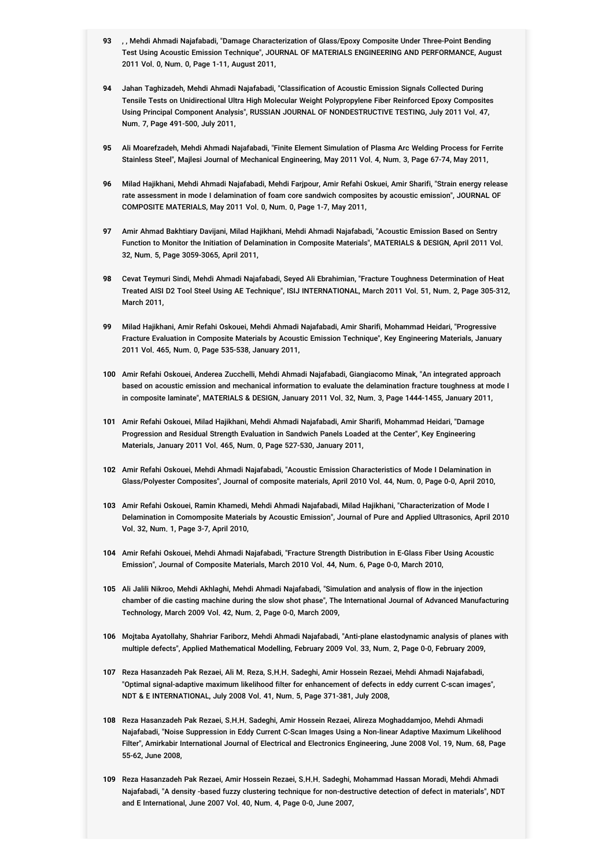- **93** , , Mehdi Ahmadi Najafabadi, "Damage Characterization of Glass/Epoxy Composite Under Three-Point Bending Test Using Acoustic Emission Technique", JOURNAL OF MATERIALS ENGINEERING AND PERFORMANCE, August 2011 Vol. 0, Num. 0, Page 1-11, August 2011,
- **94** Jahan Taghizadeh, Mehdi Ahmadi Najafabadi, "Classification of Acoustic Emission Signals Collected During Tensile Tests on Unidirectional Ultra High Molecular Weight Polypropylene Fiber Reinforced Epoxy Composites Using Principal Component Analysis", RUSSIAN JOURNAL OF NONDESTRUCTIVE TESTING, July 2011 Vol. 47, Num. 7, Page 491-500, July 2011,
- **95** Ali Moarefzadeh, Mehdi Ahmadi Najafabadi, "Finite Element Simulation of Plasma Arc Welding Process for Ferrite Stainless Steel", Majlesi Journal of Mechanical Engineering, May 2011 Vol. 4, Num. 3, Page 67-74, May 2011,
- **96** Milad Hajikhani, Mehdi Ahmadi Najafabadi, Mehdi Farjpour, Amir Refahi Oskuei, Amir Sharifi, "Strain energy release rate assessment in mode I delamination of foam core sandwich composites by acoustic emission", JOURNAL OF COMPOSITE MATERIALS, May 2011 Vol. 0, Num. 0, Page 1-7, May 2011,
- **97** Amir Ahmad Bakhtiary Davijani, Milad Hajikhani, Mehdi Ahmadi Najafabadi, "Acoustic Emission Based on Sentry Function to Monitor the Initiation of Delamination in Composite Materials", MATERIALS & DESIGN, April 2011 Vol. 32, Num. 5, Page 3059-3065, April 2011,
- **98** Cevat Teymuri Sindi, Mehdi Ahmadi Najafabadi, Seyed Ali Ebrahimian, "Fracture Toughness Determination of Heat Treated AISI D2 Tool Steel Using AE Technique", ISIJ INTERNATIONAL, March 2011 Vol. 51, Num. 2, Page 305-312, March 2011,
- **99** Milad Hajikhani, Amir Refahi Oskouei, Mehdi Ahmadi Najafabadi, Amir Sharifi, Mohammad Heidari, "Progressive Fracture Evaluation in Composite Materials by Acoustic Emission Technique", Key Engineering Materials, January 2011 Vol. 465, Num. 0, Page 535-538, January 2011,
- **100** Amir Refahi Oskouei, Anderea Zucchelli, Mehdi Ahmadi Najafabadi, Giangiacomo Minak, "An integrated approach based on acoustic emission and mechanical information to evaluate the delamination fracture toughness at mode I in composite laminate", MATERIALS & DESIGN, January 2011 Vol. 32, Num. 3, Page 1444-1455, January 2011,
- **101** Amir Refahi Oskouei, Milad Hajikhani, Mehdi Ahmadi Najafabadi, Amir Sharifi, Mohammad Heidari, "Damage Progression and Residual Strength Evaluation in Sandwich Panels Loaded at the Center", Key Engineering Materials, January 2011 Vol. 465, Num. 0, Page 527-530, January 2011,
- **102** Amir Refahi Oskouei, Mehdi Ahmadi Najafabadi, "Acoustic Emission Characteristics of Mode I Delamination in Glass/Polyester Composites", Journal of composite materials, April 2010 Vol. 44, Num. 0, Page 0-0, April 2010,
- **103** Amir Refahi Oskouei, Ramin Khamedi, Mehdi Ahmadi Najafabadi, Milad Hajikhani, "Characterization of Mode I Delamination in Comomposite Materials by Acoustic Emission", Journal of Pure and Applied Ultrasonics, April 2010 Vol. 32, Num. 1, Page 3-7, April 2010,
- **104** Amir Refahi Oskouei, Mehdi Ahmadi Najafabadi, "Fracture Strength Distribution in E-Glass Fiber Using Acoustic Emission", Journal of Composite Materials, March 2010 Vol. 44, Num. 6, Page 0-0, March 2010,
- **105** Ali Jalili Nikroo, Mehdi Akhlaghi, Mehdi Ahmadi Najafabadi, "Simulation and analysis of flow in the injection chamber of die casting machine during the slow shot phase", The International Journal of Advanced Manufacturing Technology, March 2009 Vol. 42, Num. 2, Page 0-0, March 2009,
- **106** Mojtaba Ayatollahy, Shahriar Fariborz, Mehdi Ahmadi Najafabadi, "Anti-plane elastodynamic analysis of planes with multiple defects", Applied Mathematical Modelling, February 2009 Vol. 33, Num. 2, Page 0-0, February 2009,
- **107** Reza Hasanzadeh Pak Rezaei, Ali M. Reza, S.H.H. Sadeghi, Amir Hossein Rezaei, Mehdi Ahmadi Najafabadi, "Optimal signal-adaptive maximum likelihood filter for enhancement of defects in eddy current C-scan images", NDT & E INTERNATIONAL, July 2008 Vol. 41, Num. 5, Page 371-381, July 2008,
- **108** Reza Hasanzadeh Pak Rezaei, S.H.H. Sadeghi, Amir Hossein Rezaei, Alireza Moghaddamjoo, Mehdi Ahmadi Najafabadi, "Noise Suppression in Eddy Current C-Scan Images Using a Non-linear Adaptive Maximum Likelihood Filter", Amirkabir International Journal of Electrical and Electronics Engineering, June 2008 Vol. 19, Num. 68, Page 55-62, June 2008,
- **109** Reza Hasanzadeh Pak Rezaei, Amir Hossein Rezaei, S.H.H. Sadeghi, Mohammad Hassan Moradi, Mehdi Ahmadi Najafabadi, "A density -based fuzzy clustering technique for non-destructive detection of defect in materials", NDT and E International, June 2007 Vol. 40, Num. 4, Page 0-0, June 2007,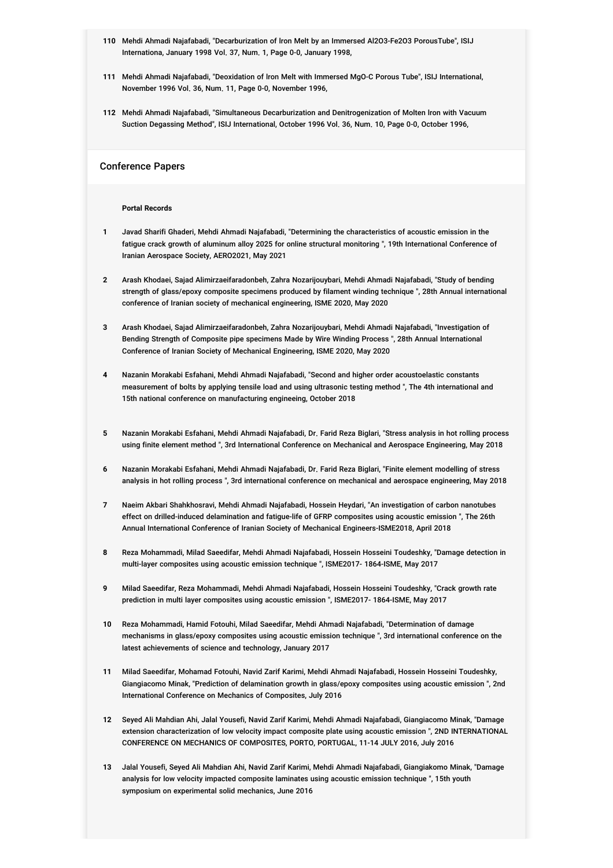- **110** Mehdi Ahmadi Najafabadi, "Decarburization of lron Melt by an Immersed Al2O3-Fe2O3 PorousTube", ISIJ Internationa, January 1998 Vol. 37, Num. 1, Page 0-0, January 1998,
- **111** Mehdi Ahmadi Najafabadi, "Deoxidation of lron Melt with Immersed MgO-C Porous Tube", ISIJ International, November 1996 Vol. 36, Num. 11, Page 0-0, November 1996,
- **112** Mehdi Ahmadi Najafabadi, "Simultaneous Decarburization and Denitrogenization of Molten lron with Vacuum Suction Degassing Method", ISIJ International, October 1996 Vol. 36, Num. 10, Page 0-0, October 1996,

#### Conference Papers

#### **Portal Records**

- **1** Javad Sharifi Ghaderi, Mehdi Ahmadi Najafabadi, "Determining the characteristics of acoustic emission in the fatigue crack growth of aluminum alloy 2025 for online structural monitoring ", 19th International Conference of Iranian Aerospace Society, AERO2021, May 2021
- **2** Arash Khodaei, Sajad Alimirzaeifaradonbeh, Zahra Nozarijouybari, Mehdi Ahmadi Najafabadi, "Study of bending strength of glass/epoxy composite specimens produced by filament winding technique ", 28th Annual international conference of Iranian society of mechanical engineering, ISME 2020, May 2020
- **3** Arash Khodaei, Sajad Alimirzaeifaradonbeh, Zahra Nozarijouybari, Mehdi Ahmadi Najafabadi, "Investigation of Bending Strength of Composite pipe specimens Made by Wire Winding Process ", 28th Annual International Conference of Iranian Society of Mechanical Engineering, ISME 2020, May 2020
- **4** Nazanin Morakabi Esfahani, Mehdi Ahmadi Najafabadi, "Second and higher order acoustoelastic constants measurement of bolts by applying tensile load and using ultrasonic testing method ", The 4th international and 15th national conference on manufacturing engineeing, October 2018
- **5** Nazanin Morakabi Esfahani, Mehdi Ahmadi Najafabadi, Dr. Farid Reza Biglari, "Stress analysis in hot rolling process using finite element method ", 3rd International Conference on Mechanical and Aerospace Engineering, May 2018
- **6** Nazanin Morakabi Esfahani, Mehdi Ahmadi Najafabadi, Dr. Farid Reza Biglari, "Finite element modelling of stress analysis in hot rolling process ", 3rd international conference on mechanical and aerospace engineering, May 2018
- **7** Naeim Akbari Shahkhosravi, Mehdi Ahmadi Najafabadi, Hossein Heydari, "An investigation of carbon nanotubes effect on drilled-induced delamination and fatigue-life of GFRP composites using acoustic emission ", The 26th Annual International Conference of Iranian Society of Mechanical Engineers-ISME2018, April 2018
- **8** Reza Mohammadi, Milad Saeedifar, Mehdi Ahmadi Najafabadi, Hossein Hosseini Toudeshky, "Damage detection in multi-layer composites using acoustic emission technique ", ISME2017- 1864-ISME, May 2017
- **9** Milad Saeedifar, Reza Mohammadi, Mehdi Ahmadi Najafabadi, Hossein Hosseini Toudeshky, "Crack growth rate prediction in multi layer composites using acoustic emission ", ISME2017- 1864-ISME, May 2017
- **10** Reza Mohammadi, Hamid Fotouhi, Milad Saeedifar, Mehdi Ahmadi Najafabadi, "Determination of damage mechanisms in glass/epoxy composites using acoustic emission technique ", 3rd international conference on the latest achievements of science and technology, January 2017
- **11** Milad Saeedifar, Mohamad Fotouhi, Navid Zarif Karimi, Mehdi Ahmadi Najafabadi, Hossein Hosseini Toudeshky, Giangiacomo Minak, "Prediction of delamination growth in glass/epoxy composites using acoustic emission ", 2nd International Conference on Mechanics of Composites, July 2016
- **12** Seyed Ali Mahdian Ahi, Jalal Yousefi, Navid Zarif Karimi, Mehdi Ahmadi Najafabadi, Giangiacomo Minak, "Damage extension characterization of low velocity impact composite plate using acoustic emission ", 2ND INTERNATIONAL CONFERENCE ON MECHANICS OF COMPOSITES, PORTO, PORTUGAL, 11-14 JULY 2016, July 2016
- **13** Jalal Yousefi, Seyed Ali Mahdian Ahi, Navid Zarif Karimi, Mehdi Ahmadi Najafabadi, Giangiakomo Minak, "Damage analysis for low velocity impacted composite laminates using acoustic emission technique ", 15th youth symposium on experimental solid mechanics, June 2016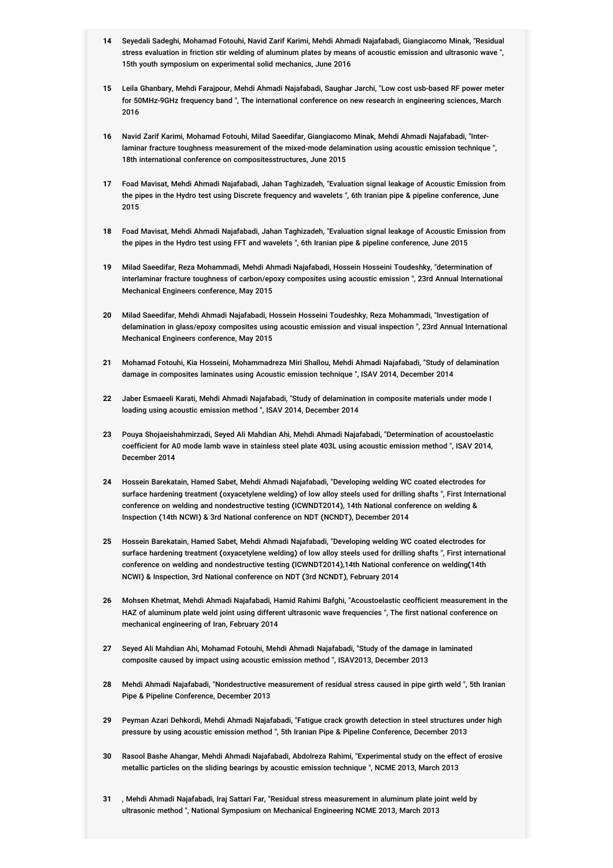- **14** Seyedali Sadeghi, Mohamad Fotouhi, Navid Zarif Karimi, Mehdi Ahmadi Najafabadi, Giangiacomo Minak, "Residual stress evaluation in friction stir welding of aluminum plates by means of acoustic emission and ultrasonic wave ", 15th youth symposium on experimental solid mechanics, June 2016
- **15** Leila Ghanbary, Mehdi Farajpour, Mehdi Ahmadi Najafabadi, Saughar Jarchi, "Low cost usb-based RF power meter for 50MHz-9GHz frequency band ", The international conference on new research in engineering sciences, March 2016
- **16** Navid Zarif Karimi, Mohamad Fotouhi, Milad Saeedifar, Giangiacomo Minak, Mehdi Ahmadi Najafabadi, "Interlaminar fracture toughness measurement of the mixed-mode delamination using acoustic emission technique ", 18th international conference on compositesstructures, June 2015
- **17** Foad Mavisat, Mehdi Ahmadi Najafabadi, Jahan Taghizadeh, "Evaluation signal leakage of Acoustic Emission from the pipes in the Hydro test using Discrete frequency and wavelets ", 6th Iranian pipe & pipeline conference, June 2015
- **18** Foad Mavisat, Mehdi Ahmadi Najafabadi, Jahan Taghizadeh, "Evaluation signal leakage of Acoustic Emission from the pipes in the Hydro test using FFT and wavelets ", 6th Iranian pipe & pipeline conference, June 2015
- **19** Milad Saeedifar, Reza Mohammadi, Mehdi Ahmadi Najafabadi, Hossein Hosseini Toudeshky, "determination of interlaminar fracture toughness of carbon/epoxy composites using acoustic emission ", 23rd Annual International Mechanical Engineers conference, May 2015
- **20** Milad Saeedifar, Mehdi Ahmadi Najafabadi, Hossein Hosseini Toudeshky, Reza Mohammadi, "Investigation of delamination in glass/epoxy composites using acoustic emission and visual inspection ", 23rd Annual International Mechanical Engineers conference, May 2015
- **21** Mohamad Fotouhi, Kia Hosseini, Mohammadreza Miri Shallou, Mehdi Ahmadi Najafabadi, "Study of delamination damage in composites laminates using Acoustic emission technique ", ISAV 2014, December 2014
- **22** Jaber Esmaeeli Karati, Mehdi Ahmadi Najafabadi, "Study of delamination in composite materials under mode I loading using acoustic emission method ", ISAV 2014, December 2014
- **23** Pouya Shojaeishahmirzadi, Seyed Ali Mahdian Ahi, Mehdi Ahmadi Najafabadi, "Determination of acoustoelastic coefficient for A0 mode lamb wave in stainless steel plate 403L using acoustic emission method ", ISAV 2014, December 2014
- **24** Hossein Barekatain, Hamed Sabet, Mehdi Ahmadi Najafabadi, "Developing welding WC coated electrodes for surface hardening treatment (oxyacetylene welding) of low alloy steels used for drilling shafts ", First International conference on welding and nondestructive testing (ICWNDT2014), 14th National conference on welding & Inspection (14th NCWI) & 3rd National conference on NDT (NCNDT), December 2014
- **25** Hossein Barekatain, Hamed Sabet, Mehdi Ahmadi Najafabadi, "Developing welding WC coated electrodes for surface hardening treatment (oxyacetylene welding) of low alloy steels used for drilling shafts ", First international conference on welding and nondestructive testing (ICWNDT2014),14th National conference on welding(14th NCWI) & Inspection, 3rd National conference on NDT (3rd NCNDT), February 2014
- **26** Mohsen Khetmat, Mehdi Ahmadi Najafabadi, Hamid Rahimi Bafghi, "Acoustoelastic ceofficient measurement in the HAZ of aluminum plate weld joint using different ultrasonic wave frequencies ", The first national conference on mechanical engineering of Iran, February 2014
- **27** Seyed Ali Mahdian Ahi, Mohamad Fotouhi, Mehdi Ahmadi Najafabadi, "Study of the damage in laminated composite caused by impact using acoustic emission method ", ISAV2013, December 2013
- **28** Mehdi Ahmadi Najafabadi, "Nondestructive measurement of residual stress caused in pipe girth weld ", 5th Iranian Pipe & Pipeline Conference, December 2013
- **29** Peyman Azari Dehkordi, Mehdi Ahmadi Najafabadi, "Fatigue crack growth detection in steel structures under high pressure by using acoustic emission method ", 5th Iranian Pipe & Pipeline Conference, December 2013
- **30** Rasool Bashe Ahangar, Mehdi Ahmadi Najafabadi, Abdolreza Rahimi, "Experimental study on the effect of erosive metallic particles on the sliding bearings by acoustic emission technique ", NCME 2013, March 2013
- **31** , Mehdi Ahmadi Najafabadi, Iraj Sattari Far, "Residual stress measurement in aluminum plate joint weld by ultrasonic method ", National Symposium on Mechanical Engineering NCME 2013, March 2013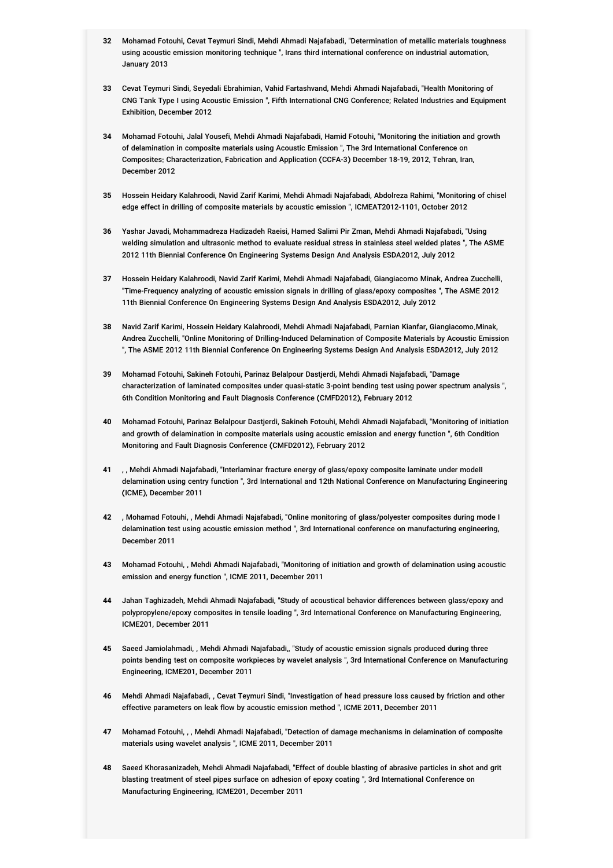- **32** Mohamad Fotouhi, Cevat Teymuri Sindi, Mehdi Ahmadi Najafabadi, "Determination of metallic materials toughness using acoustic emission monitoring technique ", Irans third international conference on industrial automation, January 2013
- **33** Cevat Teymuri Sindi, Seyedali Ebrahimian, Vahid Fartashvand, Mehdi Ahmadi Najafabadi, "Health Monitoring of CNG Tank Type I using Acoustic Emission ", Fifth International CNG Conference; Related Industries and Equipment Exhibition, December 2012
- **34** Mohamad Fotouhi, Jalal Yousefi, Mehdi Ahmadi Najafabadi, Hamid Fotouhi, "Monitoring the initiation and growth of delamination in composite materials using Acoustic Emission ", The 3rd International Conference on Composites: Characterization, Fabrication and Application (CCFA-3) December 18-19, 2012, Tehran, Iran, December 2012
- **35** Hossein Heidary Kalahroodi, Navid Zarif Karimi, Mehdi Ahmadi Najafabadi, Abdolreza Rahimi, "Monitoring of chisel edge effect in drilling of composite materials by acoustic emission ", ICMEAT2012-1101, October 2012
- **36** Yashar Javadi, Mohammadreza Hadizadeh Raeisi, Hamed Salimi Pir Zman, Mehdi Ahmadi Najafabadi, "Using welding simulation and ultrasonic method to evaluate residual stress in stainless steel welded plates ", The ASME 2012 11th Biennial Conference On Engineering Systems Design And Analysis ESDA2012, July 2012
- **37** Hossein Heidary Kalahroodi, Navid Zarif Karimi, Mehdi Ahmadi Najafabadi, Giangiacomo Minak, Andrea Zucchelli, "Time-Frequency analyzing of acoustic emission signals in drilling of glass/epoxy composites ", The ASME 2012 11th Biennial Conference On Engineering Systems Design And Analysis ESDA2012, July 2012
- **38** Navid Zarif Karimi, Hossein Heidary Kalahroodi, Mehdi Ahmadi Najafabadi, Parnian Kianfar, Giangiacomo.Minak, Andrea Zucchelli, "Online Monitoring of Drilling-Induced Delamination of Composite Materials by Acoustic Emission ", The ASME 2012 11th Biennial Conference On Engineering Systems Design And Analysis ESDA2012, July 2012
- **39** Mohamad Fotouhi, Sakineh Fotouhi, Parinaz Belalpour Dastjerdi, Mehdi Ahmadi Najafabadi, "Damage characterization of laminated composites under quasi-static 3-point bending test using power spectrum analysis ", 6th Condition Monitoring and Fault Diagnosis Conference (CMFD2012), February 2012
- **40** Mohamad Fotouhi, Parinaz Belalpour Dastjerdi, Sakineh Fotouhi, Mehdi Ahmadi Najafabadi, "Monitoring of initiation and growth of delamination in composite materials using acoustic emission and energy function ", 6th Condition Monitoring and Fault Diagnosis Conference (CMFD2012), February 2012
- **41** , , Mehdi Ahmadi Najafabadi, "Interlaminar fracture energy of glass/epoxy composite laminate under modeII delamination using centry function ", 3rd International and 12th National Conference on Manufacturing Engineering (ICME), December 2011
- **42** , Mohamad Fotouhi, , Mehdi Ahmadi Najafabadi, "Online monitoring of glass/polyester composites during mode I delamination test using acoustic emission method ", 3rd International conference on manufacturing engineering, December 2011
- **43** Mohamad Fotouhi, , Mehdi Ahmadi Najafabadi, "Monitoring of initiation and growth of delamination using acoustic emission and energy function ", ICME 2011, December 2011
- **44** Jahan Taghizadeh, Mehdi Ahmadi Najafabadi, "Study of acoustical behavior differences between glass/epoxy and polypropylene/epoxy composites in tensile loading ", 3rd International Conference on Manufacturing Engineering, ICME201, December 2011
- **45** Saeed Jamiolahmadi, , Mehdi Ahmadi Najafabadi,, "Study of acoustic emission signals produced during three points bending test on composite workpieces by wavelet analysis ", 3rd International Conference on Manufacturing Engineering, ICME201, December 2011
- **46** Mehdi Ahmadi Najafabadi, , Cevat Teymuri Sindi, "Investigation of head pressure loss caused by friction and other effective parameters on leak flow by acoustic emission method ", ICME 2011, December 2011
- **47** Mohamad Fotouhi, , , Mehdi Ahmadi Najafabadi, "Detection of damage mechanisms in delamination of composite materials using wavelet analysis ", ICME 2011, December 2011
- **48** Saeed Khorasanizadeh, Mehdi Ahmadi Najafabadi, "Effect of double blasting of abrasive particles in shot and grit blasting treatment of steel pipes surface on adhesion of epoxy coating ", 3rd International Conference on Manufacturing Engineering, ICME201, December 2011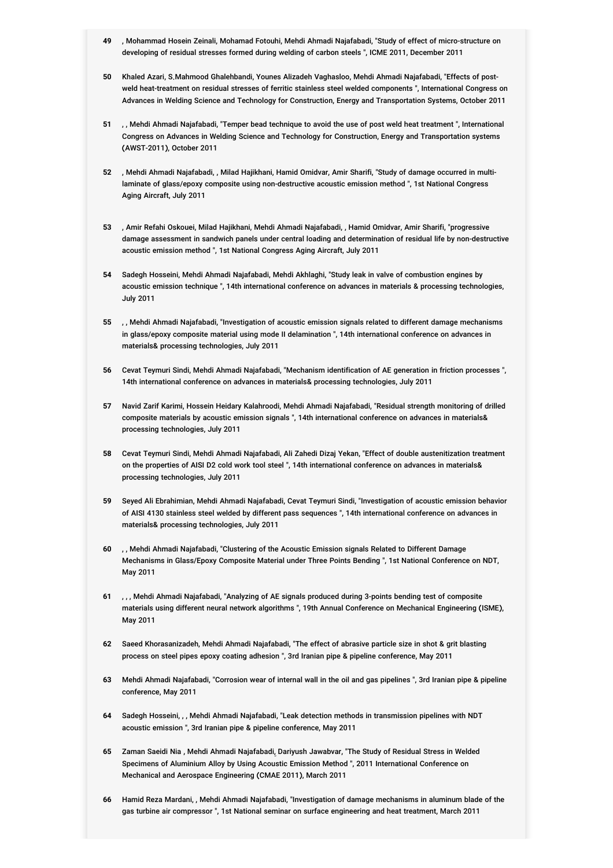- **49** , Mohammad Hosein Zeinali, Mohamad Fotouhi, Mehdi Ahmadi Najafabadi, "Study of effect of micro-structure on developing of residual stresses formed during welding of carbon steels ", ICME 2011, December 2011
- **50** Khaled Azari, S.Mahmood Ghalehbandi, Younes Alizadeh Vaghasloo, Mehdi Ahmadi Najafabadi, "Effects of postweld heat-treatment on residual stresses of ferritic stainless steel welded components ", International Congress on Advances in Welding Science and Technology for Construction, Energy and Transportation Systems, October 2011
- **51** , , Mehdi Ahmadi Najafabadi, "Temper bead technique to avoid the use of post weld heat treatment ", International Congress on Advances in Welding Science and Technology for Construction, Energy and Transportation systems (AWST-2011), October 2011
- **52** , Mehdi Ahmadi Najafabadi, , Milad Hajikhani, Hamid Omidvar, Amir Sharifi, "Study of damage occurred in multilaminate of glass/epoxy composite using non-destructive acoustic emission method ", 1st National Congress Aging Aircraft, July 2011
- **53** , Amir Refahi Oskouei, Milad Hajikhani, Mehdi Ahmadi Najafabadi, , Hamid Omidvar, Amir Sharifi, "progressive damage assessment in sandwich panels under central loading and determination of residual life by non-destructive acoustic emission method ", 1st National Congress Aging Aircraft, July 2011
- **54** Sadegh Hosseini, Mehdi Ahmadi Najafabadi, Mehdi Akhlaghi, "Study leak in valve of combustion engines by acoustic emission technique ", 14th international conference on advances in materials & processing technologies, July 2011
- **55** , , Mehdi Ahmadi Najafabadi, "Investigation of acoustic emission signals related to different damage mechanisms in glass/epoxy composite material using mode II delamination ", 14th international conference on advances in materials& processing technologies, July 2011
- **56** Cevat Teymuri Sindi, Mehdi Ahmadi Najafabadi, "Mechanism identification of AE generation in friction processes ", 14th international conference on advances in materials& processing technologies, July 2011
- **57** Navid Zarif Karimi, Hossein Heidary Kalahroodi, Mehdi Ahmadi Najafabadi, "Residual strength monitoring of drilled composite materials by acoustic emission signals ", 14th international conference on advances in materials& processing technologies, July 2011
- **58** Cevat Teymuri Sindi, Mehdi Ahmadi Najafabadi, Ali Zahedi Dizaj Yekan, "Effect of double austenitization treatment on the properties of AISI D2 cold work tool steel ", 14th international conference on advances in materials& processing technologies, July 2011
- **59** Seyed Ali Ebrahimian, Mehdi Ahmadi Najafabadi, Cevat Teymuri Sindi, "Investigation of acoustic emission behavior of AISI 4130 stainless steel welded by different pass sequences ", 14th international conference on advances in materials& processing technologies, July 2011
- **60** , , Mehdi Ahmadi Najafabadi, "Clustering of the Acoustic Emission signals Related to Different Damage Mechanisms in Glass/Epoxy Composite Material under Three Points Bending ", 1st National Conference on NDT, May 2011
- **61** , , , Mehdi Ahmadi Najafabadi, "Analyzing of AE signals produced during 3-points bending test of composite materials using different neural network algorithms ", 19th Annual Conference on Mechanical Engineering (ISME), May 2011
- **62** Saeed Khorasanizadeh, Mehdi Ahmadi Najafabadi, "The effect of abrasive particle size in shot & grit blasting process on steel pipes epoxy coating adhesion ", 3rd Iranian pipe & pipeline conference, May 2011
- **63** Mehdi Ahmadi Najafabadi, "Corrosion wear of internal wall in the oil and gas pipelines ", 3rd Iranian pipe & pipeline conference, May 2011
- **64** Sadegh Hosseini, , , Mehdi Ahmadi Najafabadi, "Leak detection methods in transmission pipelines with NDT acoustic emission ", 3rd Iranian pipe & pipeline conference, May 2011
- **65** Zaman Saeidi Nia , Mehdi Ahmadi Najafabadi,ِDariyush Jawabvar, "The Study of Residual Stress in Welded Specimens of Aluminium Alloy by Using Acoustic Emission Method ", 2011 International Conference on Mechanical and Aerospace Engineering (CMAE 2011), March 2011
- **66** Hamid Reza Mardani, , Mehdi Ahmadi Najafabadi, "Investigation of damage mechanisms in aluminum blade of the gas turbine air compressor ", 1st National seminar on surface engineering and heat treatment, March 2011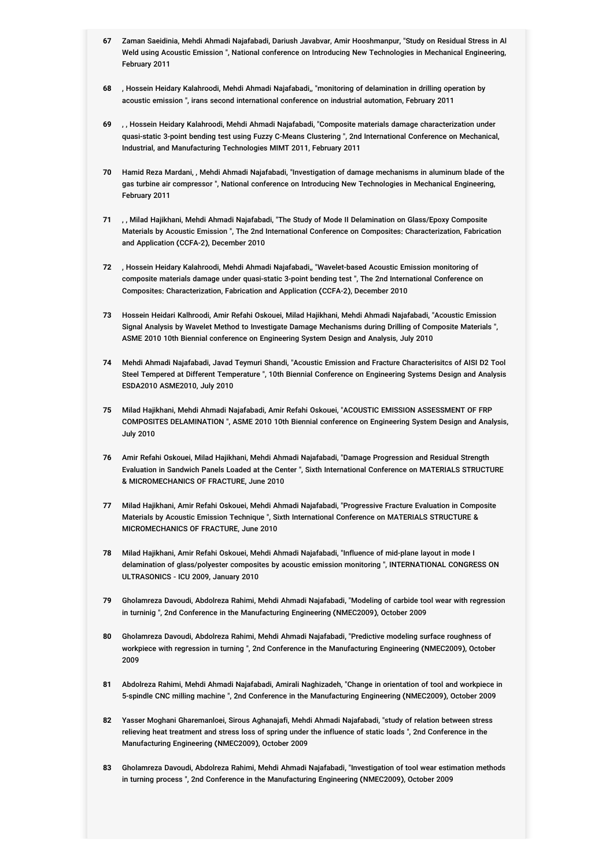- **67** Zaman Saeidinia, Mehdi Ahmadi Najafabadi, Dariush Javabvar, Amir Hooshmanpur, "Study on Residual Stress in Al Weld using Acoustic Emission ", National conference on Introducing New Technologies in Mechanical Engineering, February 2011
- **68** , Hossein Heidary Kalahroodi, Mehdi Ahmadi Najafabadi,, "monitoring of delamination in drilling operation by acoustic emission ", irans second international conference on industrial automation, February 2011
- **69** , , Hossein Heidary Kalahroodi, Mehdi Ahmadi Najafabadi, "Composite materials damage characterization under quasi-static 3-point bending test using Fuzzy C-Means Clustering ", 2nd International Conference on Mechanical, Industrial, and Manufacturing Technologies MIMT 2011, February 2011
- **70** Hamid Reza Mardani, , Mehdi Ahmadi Najafabadi, "Investigation of damage mechanisms in aluminum blade of the gas turbine air compressor ", National conference on Introducing New Technologies in Mechanical Engineering, February 2011
- **71** , , Milad Hajikhani, Mehdi Ahmadi Najafabadi, "The Study of Mode II Delamination on Glass/Epoxy Composite Materials by Acoustic Emission ", The 2nd International Conference on Composites: Characterization, Fabrication and Application (CCFA-2), December 2010
- **72** , Hossein Heidary Kalahroodi, Mehdi Ahmadi Najafabadi,, "Wavelet-based Acoustic Emission monitoring of composite materials damage under quasi-static 3-point bending test ", The 2nd International Conference on Composites: Characterization, Fabrication and Application (CCFA-2), December 2010
- **73** Hossein Heidari Kalhroodi, Amir Refahi Oskouei, Milad Hajikhani, Mehdi Ahmadi Najafabadi, "Acoustic Emission Signal Analysis by Wavelet Method to Investigate Damage Mechanisms during Drilling of Composite Materials ", ASME 2010 10th Biennial conference on Engineering System Design and Analysis, July 2010
- **74** Mehdi Ahmadi Najafabadi, Javad Teymuri Shandi, "Acoustic Emission and Fracture Characterisitcs of AISI D2 Tool Steel Tempered at Different Temperature ", 10th Biennial Conference on Engineering Systems Design and Analysis ESDA2010 ASME2010, July 2010
- **75** Milad Hajikhani, Mehdi Ahmadi Najafabadi, Amir Refahi Oskouei, "ACOUSTIC EMISSION ASSESSMENT OF FRP COMPOSITES DELAMINATION ", ASME 2010 10th Biennial conference on Engineering System Design and Analysis, July 2010
- **76** Amir Refahi Oskouei, Milad Hajikhani, Mehdi Ahmadi Najafabadi, "Damage Progression and Residual Strength Evaluation in Sandwich Panels Loaded at the Center ", Sixth International Conference on MATERIALS STRUCTURE & MICROMECHANICS OF FRACTURE, June 2010
- **77** Milad Hajikhani, Amir Refahi Oskouei, Mehdi Ahmadi Najafabadi, "Progressive Fracture Evaluation in Composite Materials by Acoustic Emission Technique ", Sixth International Conference on MATERIALS STRUCTURE & MICROMECHANICS OF FRACTURE, June 2010
- **78** Milad Hajikhani, Amir Refahi Oskouei, Mehdi Ahmadi Najafabadi, "Influence of mid-plane layout in mode I delamination of glass/polyester composites by acoustic emission monitoring ", INTERNATIONAL CONGRESS ON ULTRASONICS - ICU 2009, January 2010
- **79** Gholamreza Davoudi, Abdolreza Rahimi, Mehdi Ahmadi Najafabadi, "Modeling of carbide tool wear with regression in turninig ", 2nd Conference in the Manufacturing Engineering (NMEC2009), October 2009
- **80** Gholamreza Davoudi, Abdolreza Rahimi, Mehdi Ahmadi Najafabadi, "Predictive modeling surface roughness of workpiece with regression in turning ", 2nd Conference in the Manufacturing Engineering (NMEC2009), October 2009
- **81** Abdolreza Rahimi, Mehdi Ahmadi Najafabadi, Amirali Naghizadeh, "Change in orientation of tool and workpiece in 5-spindle CNC milling machine ", 2nd Conference in the Manufacturing Engineering (NMEC2009), October 2009
- **82** Yasser Moghani Gharemanloei, Sirous Aghanajafi, Mehdi Ahmadi Najafabadi, "study of relation between stress relieving heat treatment and stress loss of spring under the influence of static loads ", 2nd Conference in the Manufacturing Engineering (NMEC2009), October 2009
- **83** Gholamreza Davoudi, Abdolreza Rahimi, Mehdi Ahmadi Najafabadi, "Investigation of tool wear estimation methods in turning process ", 2nd Conference in the Manufacturing Engineering (NMEC2009), October 2009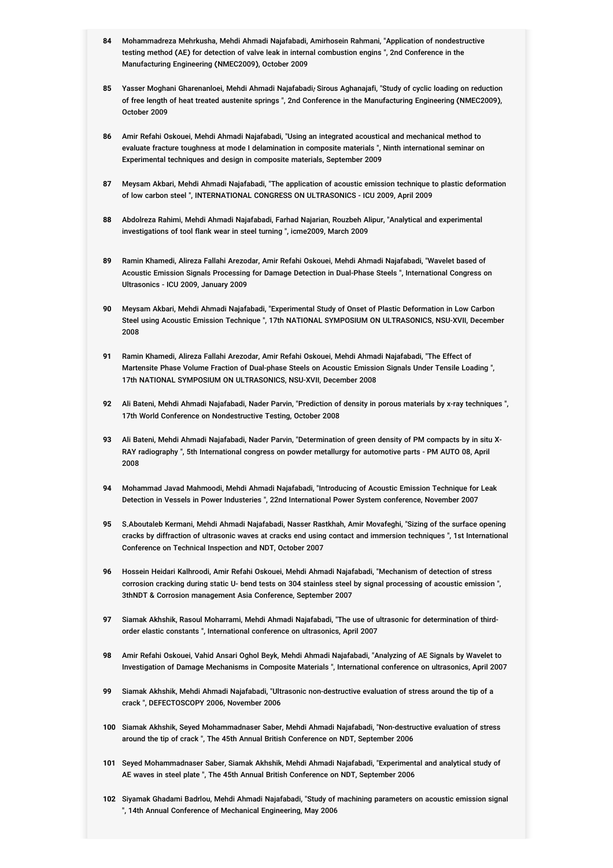- **84** Mohammadreza Mehrkusha, Mehdi Ahmadi Najafabadi, Amirhosein Rahmani, "Application of nondestructive testing method (AE) for detection of valve leak in internal combustion engins ", 2nd Conference in the Manufacturing Engineering (NMEC2009), October 2009
- 85 Yasser Moghani Gharenanloei, Mehdi Ahmadi Najafabadi, Sirous Aghanajafi, "Study of cyclic loading on reduction<br>. of free length of heat treated austenite springs ", 2nd Conference in the Manufacturing Engineering (NMEC2009), October 2009
- **86** Amir Refahi Oskouei, Mehdi Ahmadi Najafabadi, "Using an integrated acoustical and mechanical method to evaluate fracture toughness at mode I delamination in composite materials ", Ninth international seminar on Experimental techniques and design in composite materials, September 2009
- **87** Meysam Akbari, Mehdi Ahmadi Najafabadi, "The application of acoustic emission technique to plastic deformation of low carbon steel ", INTERNATIONAL CONGRESS ON ULTRASONICS - ICU 2009, April 2009
- **88** Abdolreza Rahimi, Mehdi Ahmadi Najafabadi, Farhad Najarian, Rouzbeh Alipur, "Analytical and experimental investigations of tool flank wear in steel turning ", icme2009, March 2009
- **89** Ramin Khamedi, Alireza Fallahi Arezodar, Amir Refahi Oskouei, Mehdi Ahmadi Najafabadi, "Wavelet based of Acoustic Emission Signals Processing for Damage Detection in Dual-Phase Steels ", International Congress on Ultrasonics - ICU 2009, January 2009
- **90** Meysam Akbari, Mehdi Ahmadi Najafabadi, "Experimental Study of Onset of Plastic Deformation in Low Carbon Steel using Acoustic Emission Technique ", 17th NATIONAL SYMPOSIUM ON ULTRASONICS, NSU-XVII, December 2008
- **91** Ramin Khamedi, Alireza Fallahi Arezodar, Amir Refahi Oskouei, Mehdi Ahmadi Najafabadi, "The Effect of Martensite Phase Volume Fraction of Dual-phase Steels on Acoustic Emission Signals Under Tensile Loading ", 17th NATIONAL SYMPOSIUM ON ULTRASONICS, NSU-XVII, December 2008
- **92** Ali Bateni, Mehdi Ahmadi Najafabadi, Nader Parvin, "Prediction of density in porous materials by x-ray techniques ", 17th World Conference on Nondestructive Testing, October 2008
- **93** Ali Bateni, Mehdi Ahmadi Najafabadi, Nader Parvin, "Determination of green density of PM compacts by in situ X-RAY radiography ", 5th International congress on powder metallurgy for automotive parts - PM AUTO 08, April 2008
- **94** Mohammad Javad Mahmoodi, Mehdi Ahmadi Najafabadi, "Introducing of Acoustic Emission Technique for Leak Detection in Vessels in Power Industeries ", 22nd International Power System conference, November 2007
- **95** S.Aboutaleb Kermani, Mehdi Ahmadi Najafabadi, Nasser Rastkhah, Amir Movafeghi, "Sizing of the surface opening cracks by diffraction of ultrasonic waves at cracks end using contact and immersion techniques ", 1st International Conference on Technical Inspection and NDT, October 2007
- **96** Hossein Heidari Kalhroodi, Amir Refahi Oskouei, Mehdi Ahmadi Najafabadi, "Mechanism of detection of stress corrosion cracking during static U- bend tests on 304 stainless steel by signal processing of acoustic emission ", 3thNDT & Corrosion management Asia Conference, September 2007
- **97** Siamak Akhshik, Rasoul Moharrami, Mehdi Ahmadi Najafabadi, "The use of ultrasonic for determination of thirdorder elastic constants ", International conference on ultrasonics, April 2007
- **98** Amir Refahi Oskouei, Vahid Ansari Oghol Beyk, Mehdi Ahmadi Najafabadi, "Analyzing of AE Signals by Wavelet to Investigation of Damage Mechanisms in Composite Materials ", International conference on ultrasonics, April 2007
- **99** Siamak Akhshik, Mehdi Ahmadi Najafabadi, "Ultrasonic non-destructive evaluation of stress around the tip of a crack ", DEFECTOSCOPY 2006, November 2006
- **100** Siamak Akhshik, Seyed Mohammadnaser Saber, Mehdi Ahmadi Najafabadi, "Non-destructive evaluation of stress around the tip of crack ", The 45th Annual British Conference on NDT, September 2006
- **101** Seyed Mohammadnaser Saber, Siamak Akhshik, Mehdi Ahmadi Najafabadi, "Experimental and analytical study of AE waves in steel plate ", The 45th Annual British Conference on NDT, September 2006
- **102** Siyamak Ghadami Badrlou, Mehdi Ahmadi Najafabadi, "Study of machining parameters on acoustic emission signal ", 14th Annual Conference of Mechanical Engineering, May 2006